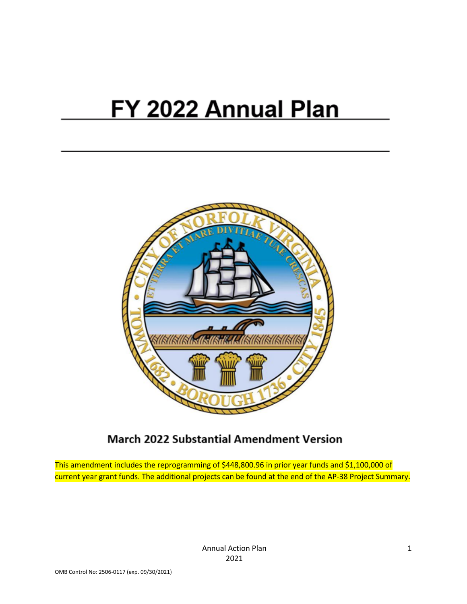# FY 2022 Annual Plan



# **March 2022 Substantial Amendment Version**

This amendment includes the reprogramming of \$448,800.96 in prior year funds and \$1,100,000 of current year grant funds. The additional projects can be found at the end of the AP-38 Project Summary.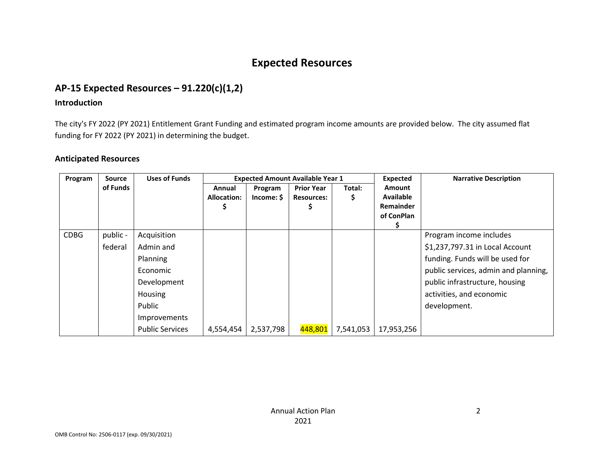# **Expected Resources**

# **AP-15 Expected Resources – 91.220(c)(1,2)**

### **Introduction**

The city's FY 2022 (PY 2021) Entitlement Grant Funding and estimated program income amounts are provided below. The city assumed flat funding for FY 2022 (PY 2021) in determining the budget.

### **Anticipated Resources**

| Program     | <b>Source</b>       | <b>Uses of Funds</b>                                                                                               | <b>Expected Amount Available Year 1</b> |                       |                                        |             | Expected                                                     | <b>Narrative Description</b>                                                                                                                                                                                        |
|-------------|---------------------|--------------------------------------------------------------------------------------------------------------------|-----------------------------------------|-----------------------|----------------------------------------|-------------|--------------------------------------------------------------|---------------------------------------------------------------------------------------------------------------------------------------------------------------------------------------------------------------------|
|             | of Funds            |                                                                                                                    | Annual<br><b>Allocation:</b>            | Program<br>Income: \$ | <b>Prior Year</b><br><b>Resources:</b> | Total:<br>Ş | <b>Amount</b><br><b>Available</b><br>Remainder<br>of ConPlan |                                                                                                                                                                                                                     |
| <b>CDBG</b> | public -<br>federal | Acquisition<br>Admin and<br>Planning<br>Economic<br>Development<br><b>Housing</b><br>Public<br><b>Improvements</b> |                                         |                       |                                        |             |                                                              | Program income includes<br>\$1,237,797.31 in Local Account<br>funding. Funds will be used for<br>public services, admin and planning,<br>public infrastructure, housing<br>activities, and economic<br>development. |
|             |                     | <b>Public Services</b>                                                                                             | 4,554,454                               | 2,537,798             | 448,801                                | 7,541,053   | 17,953,256                                                   |                                                                                                                                                                                                                     |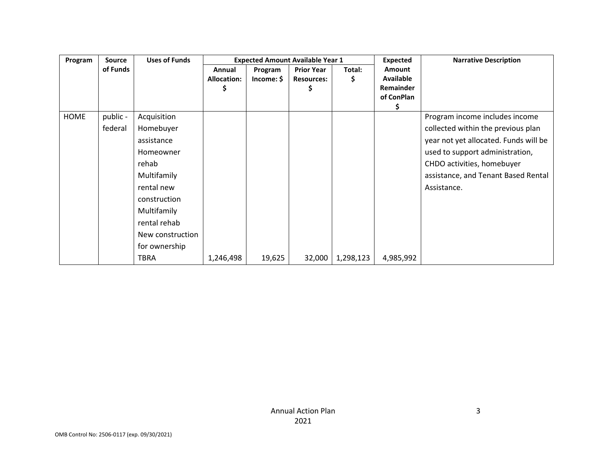| Program     | <b>Source</b> | <b>Uses of Funds</b> |                              |                    | <b>Expected Amount Available Year 1</b>      |             | <b>Expected</b>                                              | <b>Narrative Description</b>          |
|-------------|---------------|----------------------|------------------------------|--------------------|----------------------------------------------|-------------|--------------------------------------------------------------|---------------------------------------|
|             | of Funds      |                      | Annual<br><b>Allocation:</b> | Program<br>Income: | <b>Prior Year</b><br><b>Resources:</b><br>\$ | Total:<br>S | <b>Amount</b><br><b>Available</b><br>Remainder<br>of ConPlan |                                       |
| <b>HOME</b> | public -      | Acquisition          |                              |                    |                                              |             |                                                              | Program income includes income        |
|             | federal       | Homebuyer            |                              |                    |                                              |             |                                                              | collected within the previous plan    |
|             |               | assistance           |                              |                    |                                              |             |                                                              | year not yet allocated. Funds will be |
|             |               | Homeowner            |                              |                    |                                              |             |                                                              | used to support administration,       |
|             |               | rehab                |                              |                    |                                              |             |                                                              | CHDO activities, homebuyer            |
|             |               | Multifamily          |                              |                    |                                              |             |                                                              | assistance, and Tenant Based Rental   |
|             |               | rental new           |                              |                    |                                              |             |                                                              | Assistance.                           |
|             |               | construction         |                              |                    |                                              |             |                                                              |                                       |
|             |               | Multifamily          |                              |                    |                                              |             |                                                              |                                       |
|             |               | rental rehab         |                              |                    |                                              |             |                                                              |                                       |
|             |               | New construction     |                              |                    |                                              |             |                                                              |                                       |
|             |               | for ownership        |                              |                    |                                              |             |                                                              |                                       |
|             |               | TBRA                 | 1,246,498                    | 19,625             | 32,000                                       | 1,298,123   | 4,985,992                                                    |                                       |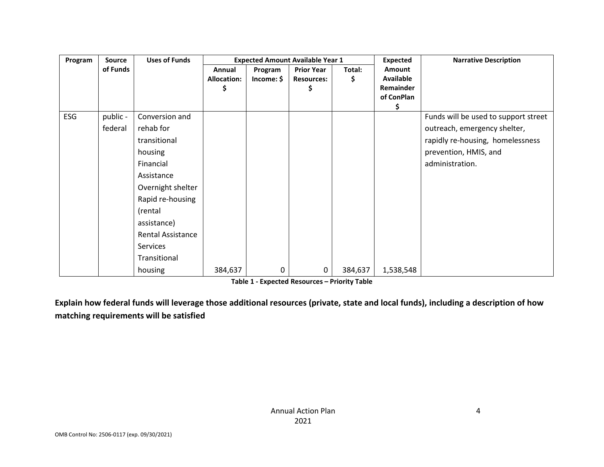| Program | <b>Source</b> | <b>Uses of Funds</b>     |                                   |                       | <b>Expected Amount Available Year 1</b>     |              | <b>Expected</b>                                            | <b>Narrative Description</b>         |
|---------|---------------|--------------------------|-----------------------------------|-----------------------|---------------------------------------------|--------------|------------------------------------------------------------|--------------------------------------|
|         | of Funds      |                          | Annual<br><b>Allocation:</b><br>⋗ | Program<br>Income: \$ | <b>Prior Year</b><br><b>Resources:</b><br>Ş | Total:<br>\$ | <b>Amount</b><br>Available<br>Remainder<br>of ConPlan<br>Ş |                                      |
| ESG     | public -      | Conversion and           |                                   |                       |                                             |              |                                                            | Funds will be used to support street |
|         | federal       | rehab for                |                                   |                       |                                             |              |                                                            | outreach, emergency shelter,         |
|         |               | transitional             |                                   |                       |                                             |              |                                                            | rapidly re-housing, homelessness     |
|         |               | housing                  |                                   |                       |                                             |              |                                                            | prevention, HMIS, and                |
|         |               | Financial                |                                   |                       |                                             |              |                                                            | administration.                      |
|         |               | Assistance               |                                   |                       |                                             |              |                                                            |                                      |
|         |               | Overnight shelter        |                                   |                       |                                             |              |                                                            |                                      |
|         |               | Rapid re-housing         |                                   |                       |                                             |              |                                                            |                                      |
|         |               | (rental                  |                                   |                       |                                             |              |                                                            |                                      |
|         |               | assistance)              |                                   |                       |                                             |              |                                                            |                                      |
|         |               | <b>Rental Assistance</b> |                                   |                       |                                             |              |                                                            |                                      |
|         |               | Services                 |                                   |                       |                                             |              |                                                            |                                      |
|         |               | Transitional             |                                   |                       |                                             |              |                                                            |                                      |
|         |               | housing                  | 384,637                           | 0                     | 0                                           | 384,637      | 1,538,548                                                  |                                      |

**Table 1 - Expected Resources – Priority Table** 

**Explain how federal funds will leverage those additional resources (private, state and local funds), including a description of how matching requirements will be satisfied**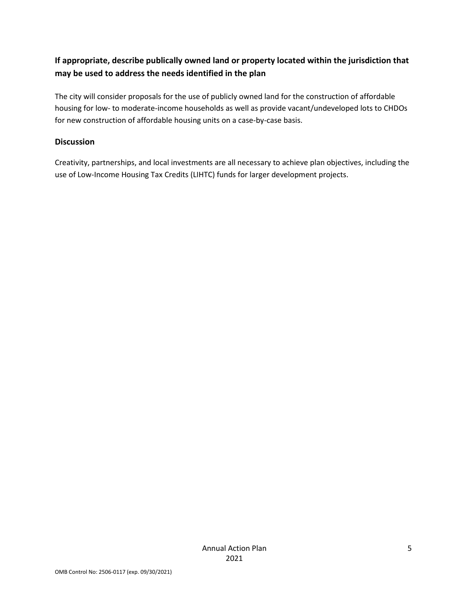### **If appropriate, describe publically owned land or property located within the jurisdiction that may be used to address the needs identified in the plan**

The city will consider proposals for the use of publicly owned land for the construction of affordable housing for low- to moderate-income households as well as provide vacant/undeveloped lots to CHDOs for new construction of affordable housing units on a case-by-case basis.

### **Discussion**

Creativity, partnerships, and local investments are all necessary to achieve plan objectives, including the use of Low-Income Housing Tax Credits (LIHTC) funds for larger development projects.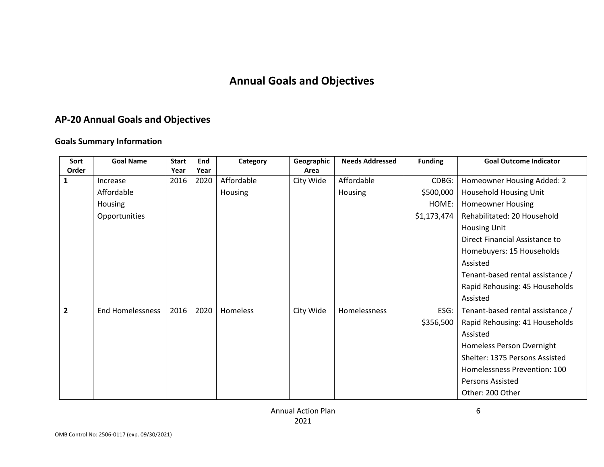# **Annual Goals and Objectives**

# **AP-20 Annual Goals and Objectives**

### **Goals Summary Information**

| Sort           | <b>Goal Name</b>        | <b>Start</b> | End  | Category        | Geographic | <b>Needs Addressed</b> | <b>Funding</b> | <b>Goal Outcome Indicator</b>    |
|----------------|-------------------------|--------------|------|-----------------|------------|------------------------|----------------|----------------------------------|
| Order          |                         | Year         | Year |                 | Area       |                        |                |                                  |
| 1              | Increase                | 2016         | 2020 | Affordable      | City Wide  | Affordable             | CDBG:          | Homeowner Housing Added: 2       |
|                | Affordable              |              |      | Housing         |            | Housing                | \$500,000      | Household Housing Unit           |
|                | <b>Housing</b>          |              |      |                 |            |                        | HOME:          | <b>Homeowner Housing</b>         |
|                | Opportunities           |              |      |                 |            |                        | \$1,173,474    | Rehabilitated: 20 Household      |
|                |                         |              |      |                 |            |                        |                | <b>Housing Unit</b>              |
|                |                         |              |      |                 |            |                        |                | Direct Financial Assistance to   |
|                |                         |              |      |                 |            |                        |                | Homebuyers: 15 Households        |
|                |                         |              |      |                 |            |                        |                | Assisted                         |
|                |                         |              |      |                 |            |                        |                | Tenant-based rental assistance / |
|                |                         |              |      |                 |            |                        |                | Rapid Rehousing: 45 Households   |
|                |                         |              |      |                 |            |                        |                | Assisted                         |
| $\overline{2}$ | <b>End Homelessness</b> | 2016         | 2020 | <b>Homeless</b> | City Wide  | Homelessness           | ESG:           | Tenant-based rental assistance / |
|                |                         |              |      |                 |            |                        | \$356,500      | Rapid Rehousing: 41 Households   |
|                |                         |              |      |                 |            |                        |                | Assisted                         |
|                |                         |              |      |                 |            |                        |                | Homeless Person Overnight        |
|                |                         |              |      |                 |            |                        |                | Shelter: 1375 Persons Assisted   |
|                |                         |              |      |                 |            |                        |                | Homelessness Prevention: 100     |
|                |                         |              |      |                 |            |                        |                | <b>Persons Assisted</b>          |
|                |                         |              |      |                 |            |                        |                | Other: 200 Other                 |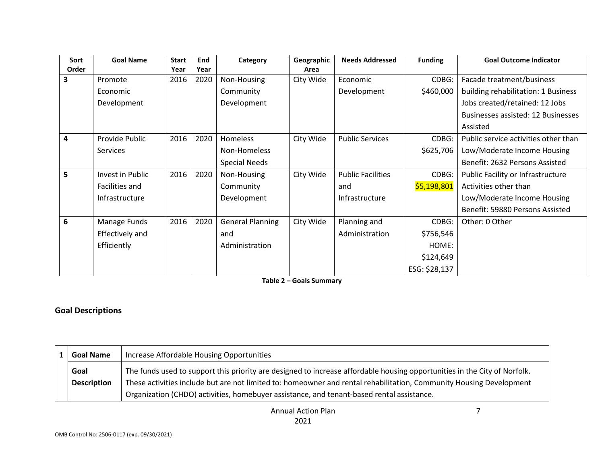| Sort  | <b>Goal Name</b> | <b>Start</b> | End  | Category                | Geographic | <b>Needs Addressed</b>   | <b>Funding</b> | <b>Goal Outcome Indicator</b>        |
|-------|------------------|--------------|------|-------------------------|------------|--------------------------|----------------|--------------------------------------|
| Order |                  | Year         | Year |                         | Area       |                          |                |                                      |
| 3     | Promote          | 2016         | 2020 | Non-Housing             | City Wide  | Economic                 | CDBG:          | Facade treatment/business            |
|       | Economic         |              |      | Community               |            | Development              | \$460,000      | building rehabilitation: 1 Business  |
|       | Development      |              |      | Development             |            |                          |                | Jobs created/retained: 12 Jobs       |
|       |                  |              |      |                         |            |                          |                | Businesses assisted: 12 Businesses   |
|       |                  |              |      |                         |            |                          |                | Assisted                             |
| 4     | Provide Public   | 2016         | 2020 | <b>Homeless</b>         | City Wide  | <b>Public Services</b>   | CDBG:          | Public service activities other than |
|       | Services         |              |      | Non-Homeless            |            |                          | \$625,706      | Low/Moderate Income Housing          |
|       |                  |              |      | <b>Special Needs</b>    |            |                          |                | Benefit: 2632 Persons Assisted       |
| 5     | Invest in Public | 2016         | 2020 | Non-Housing             | City Wide  | <b>Public Facilities</b> | CDBG:          | Public Facility or Infrastructure    |
|       | Facilities and   |              |      | Community               |            | and                      | \$5,198,801    | Activities other than                |
|       | Infrastructure   |              |      | Development             |            | Infrastructure           |                | Low/Moderate Income Housing          |
|       |                  |              |      |                         |            |                          |                | Benefit: 59880 Persons Assisted      |
| 6     | Manage Funds     | 2016         | 2020 | <b>General Planning</b> | City Wide  | Planning and             | CDBG:          | Other: 0 Other                       |
|       | Effectively and  |              |      | and                     |            | Administration           | \$756,546      |                                      |
|       | Efficiently      |              |      | Administration          |            |                          | HOME:          |                                      |
|       |                  |              |      |                         |            |                          | \$124,649      |                                      |
|       |                  |              |      |                         |            |                          | ESG: \$28,137  |                                      |

**Table 2 – Goals Summary** 

### **Goal Descriptions**

| <b>Goal Name</b>   | Increase Affordable Housing Opportunities                                                                                 |
|--------------------|---------------------------------------------------------------------------------------------------------------------------|
| Goal               | The funds used to support this priority are designed to increase affordable housing opportunities in the City of Norfolk. |
| <b>Description</b> | These activities include but are not limited to: homeowner and rental rehabilitation, Community Housing Development       |
|                    | Organization (CHDO) activities, homebuyer assistance, and tenant-based rental assistance.                                 |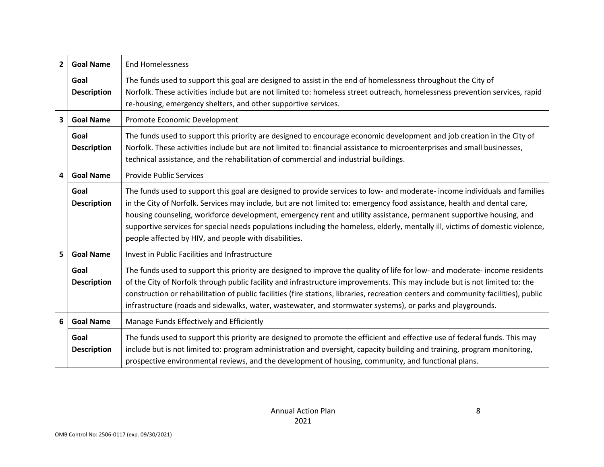| $\mathbf{2}$ | <b>Goal Name</b>           | <b>End Homelessness</b>                                                                                                                                                                                                                                                                                                                                                                                                                                                                                                                                                  |
|--------------|----------------------------|--------------------------------------------------------------------------------------------------------------------------------------------------------------------------------------------------------------------------------------------------------------------------------------------------------------------------------------------------------------------------------------------------------------------------------------------------------------------------------------------------------------------------------------------------------------------------|
|              | Goal<br><b>Description</b> | The funds used to support this goal are designed to assist in the end of homelessness throughout the City of<br>Norfolk. These activities include but are not limited to: homeless street outreach, homelessness prevention services, rapid<br>re-housing, emergency shelters, and other supportive services.                                                                                                                                                                                                                                                            |
| 3            | <b>Goal Name</b>           | Promote Economic Development                                                                                                                                                                                                                                                                                                                                                                                                                                                                                                                                             |
|              | Goal<br><b>Description</b> | The funds used to support this priority are designed to encourage economic development and job creation in the City of<br>Norfolk. These activities include but are not limited to: financial assistance to microenterprises and small businesses,<br>technical assistance, and the rehabilitation of commercial and industrial buildings.                                                                                                                                                                                                                               |
| 4            | <b>Goal Name</b>           | <b>Provide Public Services</b>                                                                                                                                                                                                                                                                                                                                                                                                                                                                                                                                           |
|              | Goal<br><b>Description</b> | The funds used to support this goal are designed to provide services to low- and moderate- income individuals and families<br>in the City of Norfolk. Services may include, but are not limited to: emergency food assistance, health and dental care,<br>housing counseling, workforce development, emergency rent and utility assistance, permanent supportive housing, and<br>supportive services for special needs populations including the homeless, elderly, mentally ill, victims of domestic violence,<br>people affected by HIV, and people with disabilities. |
| 5            | <b>Goal Name</b>           | Invest in Public Facilities and Infrastructure                                                                                                                                                                                                                                                                                                                                                                                                                                                                                                                           |
|              | Goal<br><b>Description</b> | The funds used to support this priority are designed to improve the quality of life for low- and moderate- income residents<br>of the City of Norfolk through public facility and infrastructure improvements. This may include but is not limited to: the<br>construction or rehabilitation of public facilities (fire stations, libraries, recreation centers and community facilities), public<br>infrastructure (roads and sidewalks, water, wastewater, and stormwater systems), or parks and playgrounds.                                                          |
| 6            | <b>Goal Name</b>           | Manage Funds Effectively and Efficiently                                                                                                                                                                                                                                                                                                                                                                                                                                                                                                                                 |
|              | Goal<br><b>Description</b> | The funds used to support this priority are designed to promote the efficient and effective use of federal funds. This may<br>include but is not limited to: program administration and oversight, capacity building and training, program monitoring,<br>prospective environmental reviews, and the development of housing, community, and functional plans.                                                                                                                                                                                                            |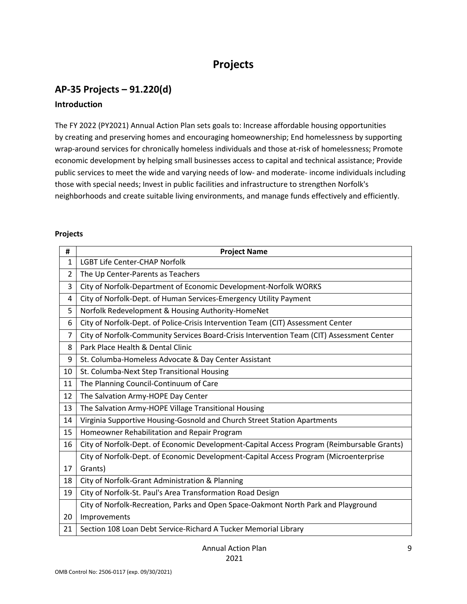# **Projects**

# **AP-35 Projects – 91.220(d) Introduction**

The FY 2022 (PY2021) Annual Action Plan sets goals to: Increase affordable housing opportunities by creating and preserving homes and encouraging homeownership; End homelessness by supporting wrap-around services for chronically homeless individuals and those at-risk of homelessness; Promote economic development by helping small businesses access to capital and technical assistance; Provide public services to meet the wide and varying needs of low- and moderate- income individuals including those with special needs; Invest in public facilities and infrastructure to strengthen Norfolk's neighborhoods and create suitable living environments, and manage funds effectively and efficiently.

#### **Projects**

| #  | <b>Project Name</b>                                                                        |
|----|--------------------------------------------------------------------------------------------|
| 1  | <b>LGBT Life Center-CHAP Norfolk</b>                                                       |
| 2  | The Up Center-Parents as Teachers                                                          |
| 3  | City of Norfolk-Department of Economic Development-Norfolk WORKS                           |
| 4  | City of Norfolk-Dept. of Human Services-Emergency Utility Payment                          |
| 5  | Norfolk Redevelopment & Housing Authority-HomeNet                                          |
| 6  | City of Norfolk-Dept. of Police-Crisis Intervention Team (CIT) Assessment Center           |
| 7  | City of Norfolk-Community Services Board-Crisis Intervention Team (CIT) Assessment Center  |
| 8  | Park Place Health & Dental Clinic                                                          |
| 9  | St. Columba-Homeless Advocate & Day Center Assistant                                       |
| 10 | St. Columba-Next Step Transitional Housing                                                 |
| 11 | The Planning Council-Continuum of Care                                                     |
| 12 | The Salvation Army-HOPE Day Center                                                         |
| 13 | The Salvation Army-HOPE Village Transitional Housing                                       |
| 14 | Virginia Supportive Housing-Gosnold and Church Street Station Apartments                   |
| 15 | Homeowner Rehabilitation and Repair Program                                                |
| 16 | City of Norfolk-Dept. of Economic Development-Capital Access Program (Reimbursable Grants) |
|    | City of Norfolk-Dept. of Economic Development-Capital Access Program (Microenterprise      |
| 17 | Grants)                                                                                    |
| 18 | City of Norfolk-Grant Administration & Planning                                            |
| 19 | City of Norfolk-St. Paul's Area Transformation Road Design                                 |
|    | City of Norfolk-Recreation, Parks and Open Space-Oakmont North Park and Playground         |
| 20 | Improvements                                                                               |
| 21 | Section 108 Loan Debt Service-Richard A Tucker Memorial Library                            |

Annual Action Plan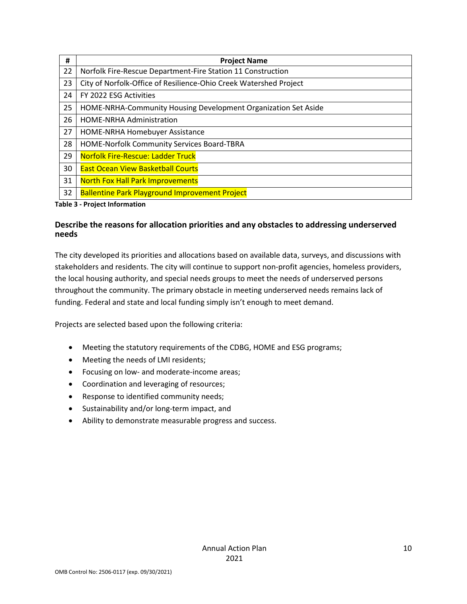| #  | <b>Project Name</b>                                               |
|----|-------------------------------------------------------------------|
| 22 | Norfolk Fire-Rescue Department-Fire Station 11 Construction       |
| 23 | City of Norfolk-Office of Resilience-Ohio Creek Watershed Project |
| 24 | FY 2022 ESG Activities                                            |
| 25 | HOME-NRHA-Community Housing Development Organization Set Aside    |
| 26 | <b>HOME-NRHA Administration</b>                                   |
| 27 | HOME-NRHA Homebuyer Assistance                                    |
| 28 | HOME-Norfolk Community Services Board-TBRA                        |
| 29 | <b>Norfolk Fire-Rescue: Ladder Truck</b>                          |
| 30 | <b>East Ocean View Basketball Courts</b>                          |
| 31 | <b>North Fox Hall Park Improvements</b>                           |
| 32 | <b>Ballentine Park Playground Improvement Project</b>             |

#### **Table 3 - Project Information**

### **Describe the reasons for allocation priorities and any obstacles to addressing underserved needs**

The city developed its priorities and allocations based on available data, surveys, and discussions with stakeholders and residents. The city will continue to support non-profit agencies, homeless providers, the local housing authority, and special needs groups to meet the needs of underserved persons throughout the community. The primary obstacle in meeting underserved needs remains lack of funding. Federal and state and local funding simply isn't enough to meet demand.

Projects are selected based upon the following criteria:

- Meeting the statutory requirements of the CDBG, HOME and ESG programs;
- Meeting the needs of LMI residents;
- Focusing on low- and moderate-income areas;
- Coordination and leveraging of resources;
- Response to identified community needs;
- Sustainability and/or long-term impact, and
- Ability to demonstrate measurable progress and success.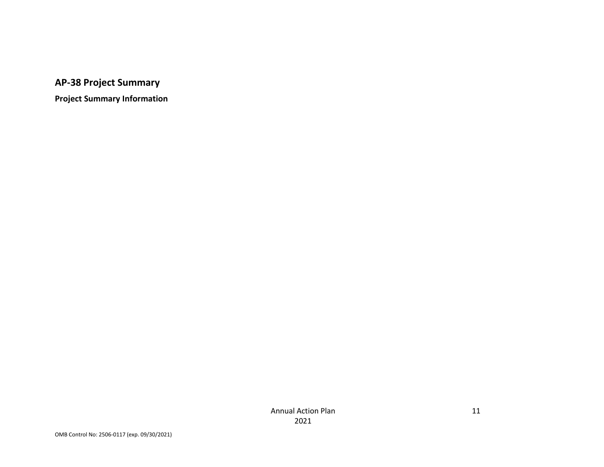**AP-38 Project Summary** 

**Project Summary Information**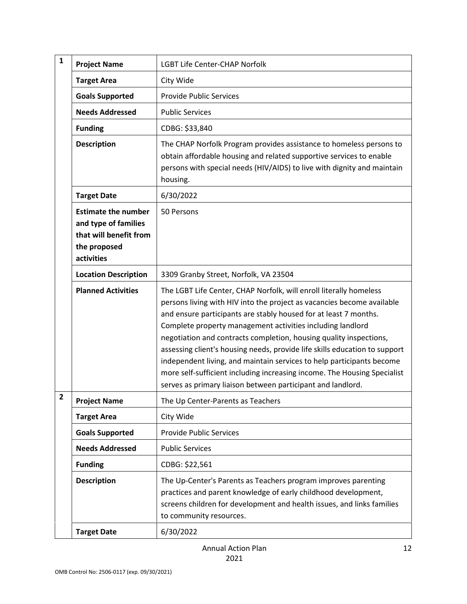| $\mathbf{1}$            | <b>Project Name</b>                                                                                        | <b>LGBT Life Center-CHAP Norfolk</b>                                                                                                                                                                                                                                                                                                                                                                                                                                                                                                                                                                                                                   |
|-------------------------|------------------------------------------------------------------------------------------------------------|--------------------------------------------------------------------------------------------------------------------------------------------------------------------------------------------------------------------------------------------------------------------------------------------------------------------------------------------------------------------------------------------------------------------------------------------------------------------------------------------------------------------------------------------------------------------------------------------------------------------------------------------------------|
|                         | <b>Target Area</b>                                                                                         | City Wide                                                                                                                                                                                                                                                                                                                                                                                                                                                                                                                                                                                                                                              |
|                         | <b>Goals Supported</b>                                                                                     | <b>Provide Public Services</b>                                                                                                                                                                                                                                                                                                                                                                                                                                                                                                                                                                                                                         |
|                         | <b>Needs Addressed</b>                                                                                     | <b>Public Services</b>                                                                                                                                                                                                                                                                                                                                                                                                                                                                                                                                                                                                                                 |
|                         | <b>Funding</b>                                                                                             | CDBG: \$33,840                                                                                                                                                                                                                                                                                                                                                                                                                                                                                                                                                                                                                                         |
|                         | <b>Description</b>                                                                                         | The CHAP Norfolk Program provides assistance to homeless persons to<br>obtain affordable housing and related supportive services to enable<br>persons with special needs (HIV/AIDS) to live with dignity and maintain<br>housing.                                                                                                                                                                                                                                                                                                                                                                                                                      |
|                         | <b>Target Date</b>                                                                                         | 6/30/2022                                                                                                                                                                                                                                                                                                                                                                                                                                                                                                                                                                                                                                              |
|                         | <b>Estimate the number</b><br>and type of families<br>that will benefit from<br>the proposed<br>activities | 50 Persons                                                                                                                                                                                                                                                                                                                                                                                                                                                                                                                                                                                                                                             |
|                         | <b>Location Description</b>                                                                                | 3309 Granby Street, Norfolk, VA 23504                                                                                                                                                                                                                                                                                                                                                                                                                                                                                                                                                                                                                  |
|                         | <b>Planned Activities</b>                                                                                  | The LGBT Life Center, CHAP Norfolk, will enroll literally homeless<br>persons living with HIV into the project as vacancies become available<br>and ensure participants are stably housed for at least 7 months.<br>Complete property management activities including landlord<br>negotiation and contracts completion, housing quality inspections,<br>assessing client's housing needs, provide life skills education to support<br>independent living, and maintain services to help participants become<br>more self-sufficient including increasing income. The Housing Specialist<br>serves as primary liaison between participant and landlord. |
| $\overline{\mathbf{c}}$ | <b>Project Name</b>                                                                                        | The Up Center-Parents as Teachers                                                                                                                                                                                                                                                                                                                                                                                                                                                                                                                                                                                                                      |
|                         | <b>Target Area</b>                                                                                         | City Wide                                                                                                                                                                                                                                                                                                                                                                                                                                                                                                                                                                                                                                              |
|                         | <b>Goals Supported</b>                                                                                     | <b>Provide Public Services</b>                                                                                                                                                                                                                                                                                                                                                                                                                                                                                                                                                                                                                         |
|                         | <b>Needs Addressed</b>                                                                                     | <b>Public Services</b>                                                                                                                                                                                                                                                                                                                                                                                                                                                                                                                                                                                                                                 |
|                         | <b>Funding</b>                                                                                             | CDBG: \$22,561                                                                                                                                                                                                                                                                                                                                                                                                                                                                                                                                                                                                                                         |
|                         | <b>Description</b>                                                                                         | The Up-Center's Parents as Teachers program improves parenting<br>practices and parent knowledge of early childhood development,<br>screens children for development and health issues, and links families<br>to community resources.                                                                                                                                                                                                                                                                                                                                                                                                                  |
|                         | <b>Target Date</b>                                                                                         | 6/30/2022                                                                                                                                                                                                                                                                                                                                                                                                                                                                                                                                                                                                                                              |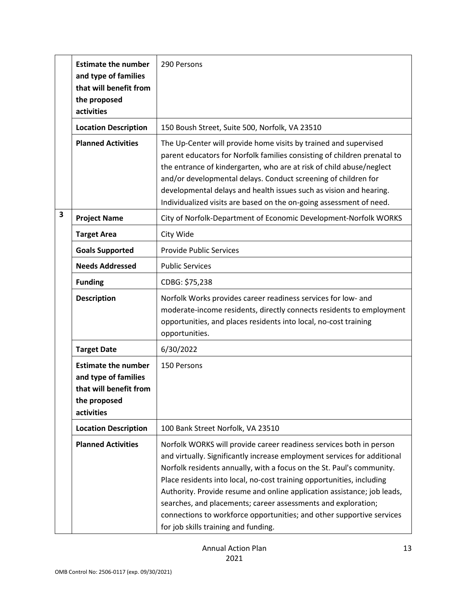|   | <b>Estimate the number</b><br>and type of families<br>that will benefit from<br>the proposed<br>activities | 290 Persons                                                                                                                                                                                                                                                                                                                                                                                                                                                                                                                                                    |  |  |  |
|---|------------------------------------------------------------------------------------------------------------|----------------------------------------------------------------------------------------------------------------------------------------------------------------------------------------------------------------------------------------------------------------------------------------------------------------------------------------------------------------------------------------------------------------------------------------------------------------------------------------------------------------------------------------------------------------|--|--|--|
|   | <b>Location Description</b>                                                                                | 150 Boush Street, Suite 500, Norfolk, VA 23510                                                                                                                                                                                                                                                                                                                                                                                                                                                                                                                 |  |  |  |
|   | <b>Planned Activities</b>                                                                                  | The Up-Center will provide home visits by trained and supervised<br>parent educators for Norfolk families consisting of children prenatal to<br>the entrance of kindergarten, who are at risk of child abuse/neglect<br>and/or developmental delays. Conduct screening of children for<br>developmental delays and health issues such as vision and hearing.<br>Individualized visits are based on the on-going assessment of need.                                                                                                                            |  |  |  |
| 3 | <b>Project Name</b>                                                                                        | City of Norfolk-Department of Economic Development-Norfolk WORKS                                                                                                                                                                                                                                                                                                                                                                                                                                                                                               |  |  |  |
|   | <b>Target Area</b>                                                                                         | City Wide                                                                                                                                                                                                                                                                                                                                                                                                                                                                                                                                                      |  |  |  |
|   | <b>Goals Supported</b>                                                                                     | <b>Provide Public Services</b>                                                                                                                                                                                                                                                                                                                                                                                                                                                                                                                                 |  |  |  |
|   | <b>Needs Addressed</b>                                                                                     | <b>Public Services</b>                                                                                                                                                                                                                                                                                                                                                                                                                                                                                                                                         |  |  |  |
|   | <b>Funding</b>                                                                                             | CDBG: \$75,238                                                                                                                                                                                                                                                                                                                                                                                                                                                                                                                                                 |  |  |  |
|   | <b>Description</b>                                                                                         | Norfolk Works provides career readiness services for low- and<br>moderate-income residents, directly connects residents to employment<br>opportunities, and places residents into local, no-cost training<br>opportunities.                                                                                                                                                                                                                                                                                                                                    |  |  |  |
|   | <b>Target Date</b>                                                                                         | 6/30/2022                                                                                                                                                                                                                                                                                                                                                                                                                                                                                                                                                      |  |  |  |
|   | <b>Estimate the number</b><br>and type of families<br>that will benefit from<br>the proposed<br>activities | 150 Persons                                                                                                                                                                                                                                                                                                                                                                                                                                                                                                                                                    |  |  |  |
|   | <b>Location Description</b>                                                                                | 100 Bank Street Norfolk, VA 23510                                                                                                                                                                                                                                                                                                                                                                                                                                                                                                                              |  |  |  |
|   | <b>Planned Activities</b>                                                                                  | Norfolk WORKS will provide career readiness services both in person<br>and virtually. Significantly increase employment services for additional<br>Norfolk residents annually, with a focus on the St. Paul's community.<br>Place residents into local, no-cost training opportunities, including<br>Authority. Provide resume and online application assistance; job leads,<br>searches, and placements; career assessments and exploration;<br>connections to workforce opportunities; and other supportive services<br>for job skills training and funding. |  |  |  |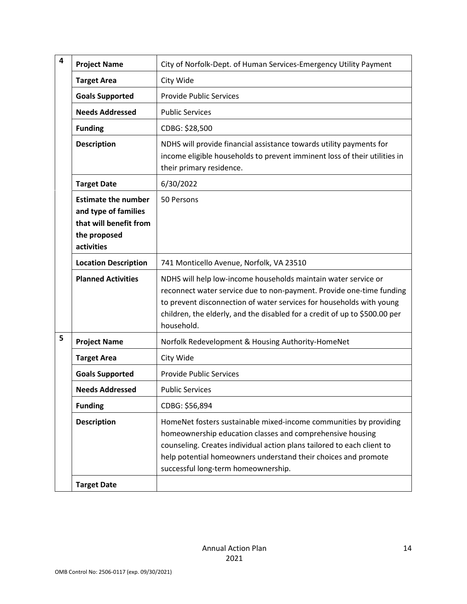| $\overline{\mathbf{4}}$ | <b>Project Name</b>                                                                                        | City of Norfolk-Dept. of Human Services-Emergency Utility Payment                                                                                                                                                                                                                                                 |
|-------------------------|------------------------------------------------------------------------------------------------------------|-------------------------------------------------------------------------------------------------------------------------------------------------------------------------------------------------------------------------------------------------------------------------------------------------------------------|
|                         | <b>Target Area</b>                                                                                         | City Wide                                                                                                                                                                                                                                                                                                         |
|                         | <b>Goals Supported</b>                                                                                     | <b>Provide Public Services</b>                                                                                                                                                                                                                                                                                    |
|                         | <b>Needs Addressed</b>                                                                                     | <b>Public Services</b>                                                                                                                                                                                                                                                                                            |
|                         | <b>Funding</b>                                                                                             | CDBG: \$28,500                                                                                                                                                                                                                                                                                                    |
|                         | <b>Description</b>                                                                                         | NDHS will provide financial assistance towards utility payments for<br>income eligible households to prevent imminent loss of their utilities in<br>their primary residence.                                                                                                                                      |
|                         | <b>Target Date</b>                                                                                         | 6/30/2022                                                                                                                                                                                                                                                                                                         |
|                         | <b>Estimate the number</b><br>and type of families<br>that will benefit from<br>the proposed<br>activities | 50 Persons                                                                                                                                                                                                                                                                                                        |
|                         | <b>Location Description</b>                                                                                | 741 Monticello Avenue, Norfolk, VA 23510                                                                                                                                                                                                                                                                          |
|                         | <b>Planned Activities</b>                                                                                  | NDHS will help low-income households maintain water service or<br>reconnect water service due to non-payment. Provide one-time funding<br>to prevent disconnection of water services for households with young<br>children, the elderly, and the disabled for a credit of up to \$500.00 per<br>household.        |
| 5                       | <b>Project Name</b>                                                                                        | Norfolk Redevelopment & Housing Authority-HomeNet                                                                                                                                                                                                                                                                 |
|                         | <b>Target Area</b>                                                                                         | City Wide                                                                                                                                                                                                                                                                                                         |
|                         | <b>Goals Supported</b>                                                                                     | <b>Provide Public Services</b>                                                                                                                                                                                                                                                                                    |
|                         | <b>Needs Addressed</b>                                                                                     | <b>Public Services</b>                                                                                                                                                                                                                                                                                            |
|                         | <b>Funding</b>                                                                                             | CDBG: \$56,894                                                                                                                                                                                                                                                                                                    |
|                         | <b>Description</b>                                                                                         | HomeNet fosters sustainable mixed-income communities by providing<br>homeownership education classes and comprehensive housing<br>counseling. Creates individual action plans tailored to each client to<br>help potential homeowners understand their choices and promote<br>successful long-term homeownership. |
|                         | <b>Target Date</b>                                                                                         |                                                                                                                                                                                                                                                                                                                   |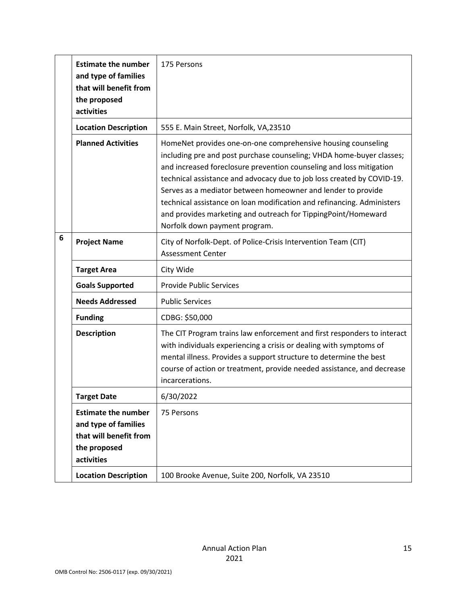|   | <b>Estimate the number</b><br>and type of families<br>that will benefit from<br>the proposed<br>activities                                | 175 Persons                                                                                                                                                                                                                                                                                                                                                                                                                                                                                                                       |
|---|-------------------------------------------------------------------------------------------------------------------------------------------|-----------------------------------------------------------------------------------------------------------------------------------------------------------------------------------------------------------------------------------------------------------------------------------------------------------------------------------------------------------------------------------------------------------------------------------------------------------------------------------------------------------------------------------|
|   | <b>Location Description</b>                                                                                                               | 555 E. Main Street, Norfolk, VA,23510                                                                                                                                                                                                                                                                                                                                                                                                                                                                                             |
|   | <b>Planned Activities</b>                                                                                                                 | HomeNet provides one-on-one comprehensive housing counseling<br>including pre and post purchase counseling; VHDA home-buyer classes;<br>and increased foreclosure prevention counseling and loss mitigation<br>technical assistance and advocacy due to job loss created by COVID-19.<br>Serves as a mediator between homeowner and lender to provide<br>technical assistance on loan modification and refinancing. Administers<br>and provides marketing and outreach for TippingPoint/Homeward<br>Norfolk down payment program. |
| 6 | <b>Project Name</b>                                                                                                                       | City of Norfolk-Dept. of Police-Crisis Intervention Team (CIT)<br><b>Assessment Center</b>                                                                                                                                                                                                                                                                                                                                                                                                                                        |
|   | <b>Target Area</b>                                                                                                                        | City Wide                                                                                                                                                                                                                                                                                                                                                                                                                                                                                                                         |
|   | <b>Goals Supported</b>                                                                                                                    | <b>Provide Public Services</b>                                                                                                                                                                                                                                                                                                                                                                                                                                                                                                    |
|   | <b>Needs Addressed</b>                                                                                                                    | <b>Public Services</b>                                                                                                                                                                                                                                                                                                                                                                                                                                                                                                            |
|   | <b>Funding</b>                                                                                                                            | CDBG: \$50,000                                                                                                                                                                                                                                                                                                                                                                                                                                                                                                                    |
|   | <b>Description</b>                                                                                                                        | The CIT Program trains law enforcement and first responders to interact<br>with individuals experiencing a crisis or dealing with symptoms of<br>mental illness. Provides a support structure to determine the best<br>course of action or treatment, provide needed assistance, and decrease<br>incarcerations.                                                                                                                                                                                                                  |
|   | Target Date                                                                                                                               | 6/30/2022                                                                                                                                                                                                                                                                                                                                                                                                                                                                                                                         |
|   | <b>Estimate the number</b><br>and type of families<br>that will benefit from<br>the proposed<br>activities<br><b>Location Description</b> | 75 Persons<br>100 Brooke Avenue, Suite 200, Norfolk, VA 23510                                                                                                                                                                                                                                                                                                                                                                                                                                                                     |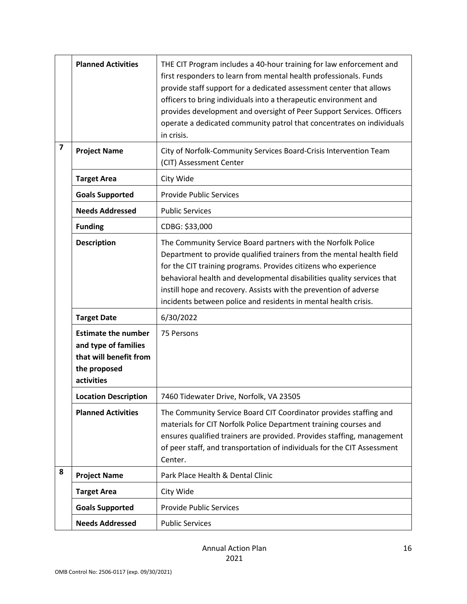|                         | <b>Planned Activities</b>                                                                                  | THE CIT Program includes a 40-hour training for law enforcement and<br>first responders to learn from mental health professionals. Funds<br>provide staff support for a dedicated assessment center that allows<br>officers to bring individuals into a therapeutic environment and<br>provides development and oversight of Peer Support Services. Officers<br>operate a dedicated community patrol that concentrates on individuals<br>in crisis. |
|-------------------------|------------------------------------------------------------------------------------------------------------|-----------------------------------------------------------------------------------------------------------------------------------------------------------------------------------------------------------------------------------------------------------------------------------------------------------------------------------------------------------------------------------------------------------------------------------------------------|
| $\overline{\mathbf{z}}$ | <b>Project Name</b>                                                                                        | City of Norfolk-Community Services Board-Crisis Intervention Team<br>(CIT) Assessment Center                                                                                                                                                                                                                                                                                                                                                        |
|                         | <b>Target Area</b>                                                                                         | City Wide                                                                                                                                                                                                                                                                                                                                                                                                                                           |
|                         | <b>Goals Supported</b>                                                                                     | <b>Provide Public Services</b>                                                                                                                                                                                                                                                                                                                                                                                                                      |
|                         | <b>Needs Addressed</b>                                                                                     | <b>Public Services</b>                                                                                                                                                                                                                                                                                                                                                                                                                              |
|                         | <b>Funding</b>                                                                                             | CDBG: \$33,000                                                                                                                                                                                                                                                                                                                                                                                                                                      |
|                         | <b>Description</b>                                                                                         | The Community Service Board partners with the Norfolk Police<br>Department to provide qualified trainers from the mental health field<br>for the CIT training programs. Provides citizens who experience<br>behavioral health and developmental disabilities quality services that<br>instill hope and recovery. Assists with the prevention of adverse<br>incidents between police and residents in mental health crisis.                          |
|                         | <b>Target Date</b>                                                                                         | 6/30/2022                                                                                                                                                                                                                                                                                                                                                                                                                                           |
|                         | <b>Estimate the number</b><br>and type of families<br>that will benefit from<br>the proposed<br>activities | 75 Persons                                                                                                                                                                                                                                                                                                                                                                                                                                          |
|                         | <b>Location Description</b>                                                                                | 7460 Tidewater Drive, Norfolk, VA 23505                                                                                                                                                                                                                                                                                                                                                                                                             |
|                         | <b>Planned Activities</b>                                                                                  | The Community Service Board CIT Coordinator provides staffing and<br>materials for CIT Norfolk Police Department training courses and<br>ensures qualified trainers are provided. Provides staffing, management<br>of peer staff, and transportation of individuals for the CIT Assessment<br>Center.                                                                                                                                               |
| 8                       | <b>Project Name</b>                                                                                        | Park Place Health & Dental Clinic                                                                                                                                                                                                                                                                                                                                                                                                                   |
|                         | <b>Target Area</b>                                                                                         | City Wide                                                                                                                                                                                                                                                                                                                                                                                                                                           |
|                         | <b>Goals Supported</b>                                                                                     | <b>Provide Public Services</b>                                                                                                                                                                                                                                                                                                                                                                                                                      |
|                         | <b>Needs Addressed</b>                                                                                     | <b>Public Services</b>                                                                                                                                                                                                                                                                                                                                                                                                                              |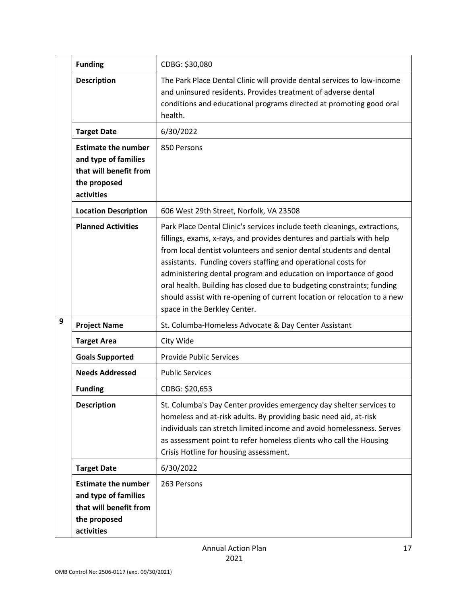|   | <b>Funding</b>                                                                                             | CDBG: \$30,080                                                                                                                                                                                                                                                                                                                                                                                                                                                                                                                                       |
|---|------------------------------------------------------------------------------------------------------------|------------------------------------------------------------------------------------------------------------------------------------------------------------------------------------------------------------------------------------------------------------------------------------------------------------------------------------------------------------------------------------------------------------------------------------------------------------------------------------------------------------------------------------------------------|
|   | <b>Description</b>                                                                                         | The Park Place Dental Clinic will provide dental services to low-income<br>and uninsured residents. Provides treatment of adverse dental<br>conditions and educational programs directed at promoting good oral<br>health.                                                                                                                                                                                                                                                                                                                           |
|   | <b>Target Date</b>                                                                                         | 6/30/2022                                                                                                                                                                                                                                                                                                                                                                                                                                                                                                                                            |
|   | <b>Estimate the number</b><br>and type of families<br>that will benefit from<br>the proposed<br>activities | 850 Persons                                                                                                                                                                                                                                                                                                                                                                                                                                                                                                                                          |
|   | <b>Location Description</b>                                                                                | 606 West 29th Street, Norfolk, VA 23508                                                                                                                                                                                                                                                                                                                                                                                                                                                                                                              |
|   | <b>Planned Activities</b>                                                                                  | Park Place Dental Clinic's services include teeth cleanings, extractions,<br>fillings, exams, x-rays, and provides dentures and partials with help<br>from local dentist volunteers and senior dental students and dental<br>assistants. Funding covers staffing and operational costs for<br>administering dental program and education on importance of good<br>oral health. Building has closed due to budgeting constraints; funding<br>should assist with re-opening of current location or relocation to a new<br>space in the Berkley Center. |
| 9 | <b>Project Name</b>                                                                                        | St. Columba-Homeless Advocate & Day Center Assistant                                                                                                                                                                                                                                                                                                                                                                                                                                                                                                 |
|   | <b>Target Area</b>                                                                                         | City Wide                                                                                                                                                                                                                                                                                                                                                                                                                                                                                                                                            |
|   | <b>Goals Supported</b>                                                                                     | <b>Provide Public Services</b>                                                                                                                                                                                                                                                                                                                                                                                                                                                                                                                       |
|   | <b>Needs Addressed</b>                                                                                     | <b>Public Services</b>                                                                                                                                                                                                                                                                                                                                                                                                                                                                                                                               |
|   | <b>Funding</b>                                                                                             | CDBG: \$20,653                                                                                                                                                                                                                                                                                                                                                                                                                                                                                                                                       |
|   | <b>Description</b>                                                                                         | St. Columba's Day Center provides emergency day shelter services to<br>homeless and at-risk adults. By providing basic need aid, at-risk<br>individuals can stretch limited income and avoid homelessness. Serves<br>as assessment point to refer homeless clients who call the Housing<br>Crisis Hotline for housing assessment.                                                                                                                                                                                                                    |
|   | <b>Target Date</b>                                                                                         | 6/30/2022                                                                                                                                                                                                                                                                                                                                                                                                                                                                                                                                            |
|   | <b>Estimate the number</b><br>and type of families<br>that will benefit from<br>the proposed<br>activities | 263 Persons                                                                                                                                                                                                                                                                                                                                                                                                                                                                                                                                          |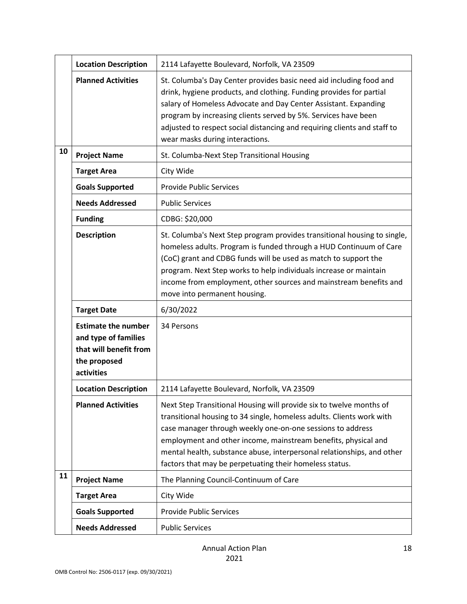|    | <b>Location Description</b>                                                                                | 2114 Lafayette Boulevard, Norfolk, VA 23509                                                                                                                                                                                                                                                                                                                                                                       |
|----|------------------------------------------------------------------------------------------------------------|-------------------------------------------------------------------------------------------------------------------------------------------------------------------------------------------------------------------------------------------------------------------------------------------------------------------------------------------------------------------------------------------------------------------|
|    |                                                                                                            |                                                                                                                                                                                                                                                                                                                                                                                                                   |
|    | <b>Planned Activities</b>                                                                                  | St. Columba's Day Center provides basic need aid including food and<br>drink, hygiene products, and clothing. Funding provides for partial<br>salary of Homeless Advocate and Day Center Assistant. Expanding<br>program by increasing clients served by 5%. Services have been<br>adjusted to respect social distancing and requiring clients and staff to<br>wear masks during interactions.                    |
| 10 | <b>Project Name</b>                                                                                        | St. Columba-Next Step Transitional Housing                                                                                                                                                                                                                                                                                                                                                                        |
|    | <b>Target Area</b>                                                                                         | City Wide                                                                                                                                                                                                                                                                                                                                                                                                         |
|    | <b>Goals Supported</b>                                                                                     | <b>Provide Public Services</b>                                                                                                                                                                                                                                                                                                                                                                                    |
|    | <b>Needs Addressed</b>                                                                                     | <b>Public Services</b>                                                                                                                                                                                                                                                                                                                                                                                            |
|    | <b>Funding</b>                                                                                             | CDBG: \$20,000                                                                                                                                                                                                                                                                                                                                                                                                    |
|    | <b>Description</b>                                                                                         | St. Columba's Next Step program provides transitional housing to single,<br>homeless adults. Program is funded through a HUD Continuum of Care<br>(CoC) grant and CDBG funds will be used as match to support the<br>program. Next Step works to help individuals increase or maintain<br>income from employment, other sources and mainstream benefits and<br>move into permanent housing.                       |
|    | <b>Target Date</b>                                                                                         | 6/30/2022                                                                                                                                                                                                                                                                                                                                                                                                         |
|    | <b>Estimate the number</b><br>and type of families<br>that will benefit from<br>the proposed<br>activities | 34 Persons                                                                                                                                                                                                                                                                                                                                                                                                        |
|    | <b>Location Description</b>                                                                                | 2114 Lafayette Boulevard, Norfolk, VA 23509                                                                                                                                                                                                                                                                                                                                                                       |
|    | <b>Planned Activities</b>                                                                                  | Next Step Transitional Housing will provide six to twelve months of<br>transitional housing to 34 single, homeless adults. Clients work with<br>case manager through weekly one-on-one sessions to address<br>employment and other income, mainstream benefits, physical and<br>mental health, substance abuse, interpersonal relationships, and other<br>factors that may be perpetuating their homeless status. |
| 11 | <b>Project Name</b>                                                                                        | The Planning Council-Continuum of Care                                                                                                                                                                                                                                                                                                                                                                            |
|    | <b>Target Area</b>                                                                                         | City Wide                                                                                                                                                                                                                                                                                                                                                                                                         |
|    | <b>Goals Supported</b>                                                                                     | <b>Provide Public Services</b>                                                                                                                                                                                                                                                                                                                                                                                    |
|    | <b>Needs Addressed</b>                                                                                     | <b>Public Services</b>                                                                                                                                                                                                                                                                                                                                                                                            |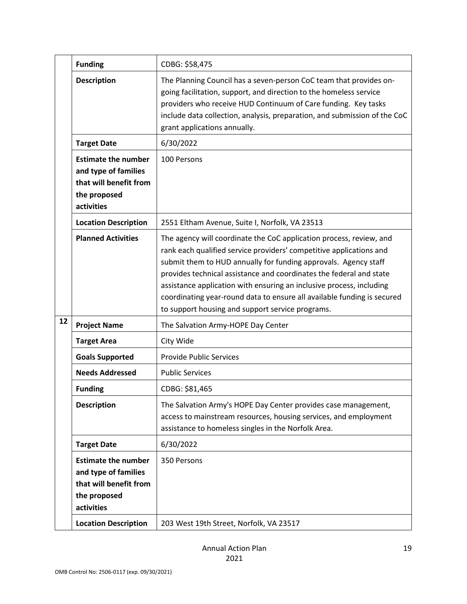|    | <b>Funding</b>                                                                                             | CDBG: \$58,475                                                                                                                                                                                                                                                                                                                                                                                                                                                                              |
|----|------------------------------------------------------------------------------------------------------------|---------------------------------------------------------------------------------------------------------------------------------------------------------------------------------------------------------------------------------------------------------------------------------------------------------------------------------------------------------------------------------------------------------------------------------------------------------------------------------------------|
|    | <b>Description</b>                                                                                         | The Planning Council has a seven-person CoC team that provides on-<br>going facilitation, support, and direction to the homeless service<br>providers who receive HUD Continuum of Care funding. Key tasks<br>include data collection, analysis, preparation, and submission of the CoC<br>grant applications annually.                                                                                                                                                                     |
|    | <b>Target Date</b>                                                                                         | 6/30/2022                                                                                                                                                                                                                                                                                                                                                                                                                                                                                   |
|    | <b>Estimate the number</b><br>and type of families<br>that will benefit from<br>the proposed<br>activities | 100 Persons                                                                                                                                                                                                                                                                                                                                                                                                                                                                                 |
|    | <b>Location Description</b>                                                                                | 2551 Eltham Avenue, Suite I, Norfolk, VA 23513                                                                                                                                                                                                                                                                                                                                                                                                                                              |
|    | <b>Planned Activities</b>                                                                                  | The agency will coordinate the CoC application process, review, and<br>rank each qualified service providers' competitive applications and<br>submit them to HUD annually for funding approvals. Agency staff<br>provides technical assistance and coordinates the federal and state<br>assistance application with ensuring an inclusive process, including<br>coordinating year-round data to ensure all available funding is secured<br>to support housing and support service programs. |
| 12 | <b>Project Name</b>                                                                                        | The Salvation Army-HOPE Day Center                                                                                                                                                                                                                                                                                                                                                                                                                                                          |
|    | <b>Target Area</b>                                                                                         | City Wide                                                                                                                                                                                                                                                                                                                                                                                                                                                                                   |
|    | <b>Goals Supported</b>                                                                                     | <b>Provide Public Services</b>                                                                                                                                                                                                                                                                                                                                                                                                                                                              |
|    | <b>Needs Addressed</b>                                                                                     | <b>Public Services</b>                                                                                                                                                                                                                                                                                                                                                                                                                                                                      |
|    | <b>Funding</b>                                                                                             | CDBG: \$81,465                                                                                                                                                                                                                                                                                                                                                                                                                                                                              |
|    | <b>Description</b>                                                                                         | The Salvation Army's HOPE Day Center provides case management,<br>access to mainstream resources, housing services, and employment<br>assistance to homeless singles in the Norfolk Area.                                                                                                                                                                                                                                                                                                   |
|    | <b>Target Date</b>                                                                                         | 6/30/2022                                                                                                                                                                                                                                                                                                                                                                                                                                                                                   |
|    | <b>Estimate the number</b><br>and type of families<br>that will benefit from<br>the proposed<br>activities | 350 Persons                                                                                                                                                                                                                                                                                                                                                                                                                                                                                 |
|    | <b>Location Description</b>                                                                                | 203 West 19th Street, Norfolk, VA 23517                                                                                                                                                                                                                                                                                                                                                                                                                                                     |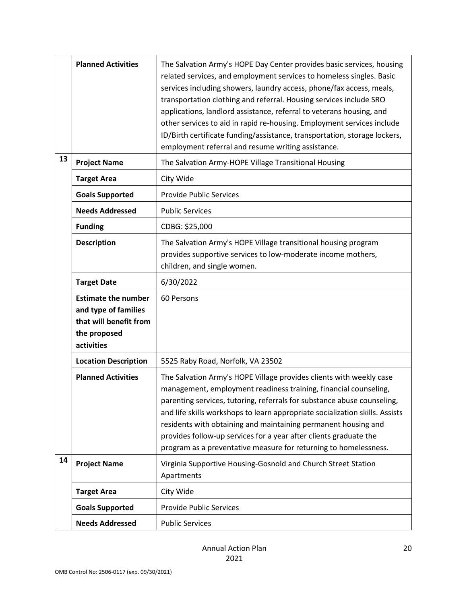|    | <b>Planned Activities</b>                                                                                  | The Salvation Army's HOPE Day Center provides basic services, housing<br>related services, and employment services to homeless singles. Basic<br>services including showers, laundry access, phone/fax access, meals,<br>transportation clothing and referral. Housing services include SRO<br>applications, landlord assistance, referral to veterans housing, and<br>other services to aid in rapid re-housing. Employment services include<br>ID/Birth certificate funding/assistance, transportation, storage lockers,<br>employment referral and resume writing assistance. |
|----|------------------------------------------------------------------------------------------------------------|----------------------------------------------------------------------------------------------------------------------------------------------------------------------------------------------------------------------------------------------------------------------------------------------------------------------------------------------------------------------------------------------------------------------------------------------------------------------------------------------------------------------------------------------------------------------------------|
| 13 | <b>Project Name</b>                                                                                        | The Salvation Army-HOPE Village Transitional Housing                                                                                                                                                                                                                                                                                                                                                                                                                                                                                                                             |
|    | <b>Target Area</b>                                                                                         | City Wide                                                                                                                                                                                                                                                                                                                                                                                                                                                                                                                                                                        |
|    | <b>Goals Supported</b>                                                                                     | <b>Provide Public Services</b>                                                                                                                                                                                                                                                                                                                                                                                                                                                                                                                                                   |
|    | <b>Needs Addressed</b>                                                                                     | <b>Public Services</b>                                                                                                                                                                                                                                                                                                                                                                                                                                                                                                                                                           |
|    | <b>Funding</b>                                                                                             | CDBG: \$25,000                                                                                                                                                                                                                                                                                                                                                                                                                                                                                                                                                                   |
|    | <b>Description</b>                                                                                         | The Salvation Army's HOPE Village transitional housing program<br>provides supportive services to low-moderate income mothers,<br>children, and single women.                                                                                                                                                                                                                                                                                                                                                                                                                    |
|    | <b>Target Date</b>                                                                                         | 6/30/2022                                                                                                                                                                                                                                                                                                                                                                                                                                                                                                                                                                        |
|    | <b>Estimate the number</b><br>and type of families<br>that will benefit from<br>the proposed<br>activities | 60 Persons                                                                                                                                                                                                                                                                                                                                                                                                                                                                                                                                                                       |
|    | <b>Location Description</b>                                                                                | 5525 Raby Road, Norfolk, VA 23502                                                                                                                                                                                                                                                                                                                                                                                                                                                                                                                                                |
|    | <b>Planned Activities</b>                                                                                  | The Salvation Army's HOPE Village provides clients with weekly case<br>management, employment readiness training, financial counseling,                                                                                                                                                                                                                                                                                                                                                                                                                                          |
|    |                                                                                                            | parenting services, tutoring, referrals for substance abuse counseling,<br>and life skills workshops to learn appropriate socialization skills. Assists<br>residents with obtaining and maintaining permanent housing and<br>provides follow-up services for a year after clients graduate the<br>program as a preventative measure for returning to homelessness.                                                                                                                                                                                                               |
| 14 | <b>Project Name</b>                                                                                        | Virginia Supportive Housing-Gosnold and Church Street Station<br>Apartments                                                                                                                                                                                                                                                                                                                                                                                                                                                                                                      |
|    | <b>Target Area</b>                                                                                         | City Wide                                                                                                                                                                                                                                                                                                                                                                                                                                                                                                                                                                        |
|    | <b>Goals Supported</b>                                                                                     | <b>Provide Public Services</b>                                                                                                                                                                                                                                                                                                                                                                                                                                                                                                                                                   |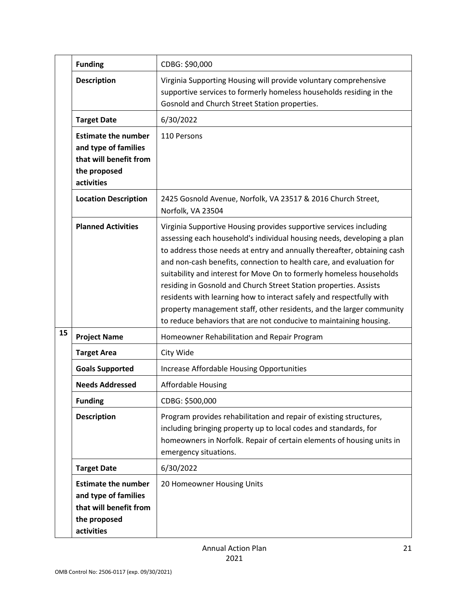|    | <b>Funding</b>                                                                                             | CDBG: \$90,000                                                                                                                                                                                                                                                                                                                                                                                                                                                                                                                                                                                                                                                     |
|----|------------------------------------------------------------------------------------------------------------|--------------------------------------------------------------------------------------------------------------------------------------------------------------------------------------------------------------------------------------------------------------------------------------------------------------------------------------------------------------------------------------------------------------------------------------------------------------------------------------------------------------------------------------------------------------------------------------------------------------------------------------------------------------------|
|    | <b>Description</b>                                                                                         | Virginia Supporting Housing will provide voluntary comprehensive<br>supportive services to formerly homeless households residing in the<br>Gosnold and Church Street Station properties.                                                                                                                                                                                                                                                                                                                                                                                                                                                                           |
|    | <b>Target Date</b>                                                                                         | 6/30/2022                                                                                                                                                                                                                                                                                                                                                                                                                                                                                                                                                                                                                                                          |
|    | <b>Estimate the number</b><br>and type of families<br>that will benefit from<br>the proposed<br>activities | 110 Persons                                                                                                                                                                                                                                                                                                                                                                                                                                                                                                                                                                                                                                                        |
|    | <b>Location Description</b>                                                                                | 2425 Gosnold Avenue, Norfolk, VA 23517 & 2016 Church Street,<br>Norfolk, VA 23504                                                                                                                                                                                                                                                                                                                                                                                                                                                                                                                                                                                  |
|    | <b>Planned Activities</b>                                                                                  | Virginia Supportive Housing provides supportive services including<br>assessing each household's individual housing needs, developing a plan<br>to address those needs at entry and annually thereafter, obtaining cash<br>and non-cash benefits, connection to health care, and evaluation for<br>suitability and interest for Move On to formerly homeless households<br>residing in Gosnold and Church Street Station properties. Assists<br>residents with learning how to interact safely and respectfully with<br>property management staff, other residents, and the larger community<br>to reduce behaviors that are not conducive to maintaining housing. |
| 15 | <b>Project Name</b>                                                                                        | Homeowner Rehabilitation and Repair Program                                                                                                                                                                                                                                                                                                                                                                                                                                                                                                                                                                                                                        |
|    | <b>Target Area</b>                                                                                         | City Wide                                                                                                                                                                                                                                                                                                                                                                                                                                                                                                                                                                                                                                                          |
|    | <b>Goals Supported</b>                                                                                     | Increase Affordable Housing Opportunities                                                                                                                                                                                                                                                                                                                                                                                                                                                                                                                                                                                                                          |
|    | <b>Needs Addressed</b>                                                                                     | <b>Affordable Housing</b>                                                                                                                                                                                                                                                                                                                                                                                                                                                                                                                                                                                                                                          |
|    | <b>Funding</b>                                                                                             | CDBG: \$500,000                                                                                                                                                                                                                                                                                                                                                                                                                                                                                                                                                                                                                                                    |
|    | <b>Description</b>                                                                                         | Program provides rehabilitation and repair of existing structures,<br>including bringing property up to local codes and standards, for<br>homeowners in Norfolk. Repair of certain elements of housing units in<br>emergency situations.                                                                                                                                                                                                                                                                                                                                                                                                                           |
|    | <b>Target Date</b>                                                                                         | 6/30/2022                                                                                                                                                                                                                                                                                                                                                                                                                                                                                                                                                                                                                                                          |
|    | <b>Estimate the number</b><br>and type of families<br>that will benefit from<br>the proposed<br>activities | 20 Homeowner Housing Units                                                                                                                                                                                                                                                                                                                                                                                                                                                                                                                                                                                                                                         |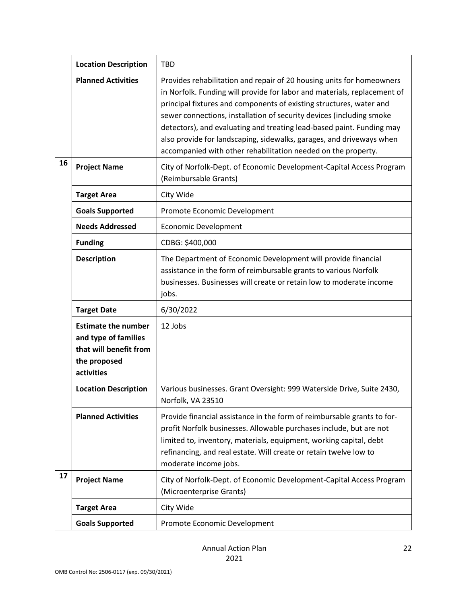|    | <b>Location Description</b>                                                                                | <b>TBD</b>                                                                                                                                                                                                                                                                                                                                                                                                                                                                                                         |
|----|------------------------------------------------------------------------------------------------------------|--------------------------------------------------------------------------------------------------------------------------------------------------------------------------------------------------------------------------------------------------------------------------------------------------------------------------------------------------------------------------------------------------------------------------------------------------------------------------------------------------------------------|
|    | <b>Planned Activities</b>                                                                                  | Provides rehabilitation and repair of 20 housing units for homeowners<br>in Norfolk. Funding will provide for labor and materials, replacement of<br>principal fixtures and components of existing structures, water and<br>sewer connections, installation of security devices (including smoke<br>detectors), and evaluating and treating lead-based paint. Funding may<br>also provide for landscaping, sidewalks, garages, and driveways when<br>accompanied with other rehabilitation needed on the property. |
| 16 | <b>Project Name</b>                                                                                        | City of Norfolk-Dept. of Economic Development-Capital Access Program<br>(Reimbursable Grants)                                                                                                                                                                                                                                                                                                                                                                                                                      |
|    | <b>Target Area</b>                                                                                         | City Wide                                                                                                                                                                                                                                                                                                                                                                                                                                                                                                          |
|    | <b>Goals Supported</b>                                                                                     | Promote Economic Development                                                                                                                                                                                                                                                                                                                                                                                                                                                                                       |
|    | <b>Needs Addressed</b>                                                                                     | <b>Economic Development</b>                                                                                                                                                                                                                                                                                                                                                                                                                                                                                        |
|    | <b>Funding</b>                                                                                             | CDBG: \$400,000                                                                                                                                                                                                                                                                                                                                                                                                                                                                                                    |
|    | <b>Description</b>                                                                                         | The Department of Economic Development will provide financial<br>assistance in the form of reimbursable grants to various Norfolk<br>businesses. Businesses will create or retain low to moderate income<br>jobs.                                                                                                                                                                                                                                                                                                  |
|    | <b>Target Date</b>                                                                                         | 6/30/2022                                                                                                                                                                                                                                                                                                                                                                                                                                                                                                          |
|    | <b>Estimate the number</b><br>and type of families<br>that will benefit from<br>the proposed<br>activities | 12 Jobs                                                                                                                                                                                                                                                                                                                                                                                                                                                                                                            |
|    | <b>Location Description</b>                                                                                | Various businesses. Grant Oversight: 999 Waterside Drive, Suite 2430,<br>Norfolk, VA 23510                                                                                                                                                                                                                                                                                                                                                                                                                         |
|    | <b>Planned Activities</b>                                                                                  | Provide financial assistance in the form of reimbursable grants to for-<br>profit Norfolk businesses. Allowable purchases include, but are not<br>limited to, inventory, materials, equipment, working capital, debt<br>refinancing, and real estate. Will create or retain twelve low to<br>moderate income jobs.                                                                                                                                                                                                 |
| 17 | <b>Project Name</b>                                                                                        | City of Norfolk-Dept. of Economic Development-Capital Access Program<br>(Microenterprise Grants)                                                                                                                                                                                                                                                                                                                                                                                                                   |
|    | <b>Target Area</b>                                                                                         | City Wide                                                                                                                                                                                                                                                                                                                                                                                                                                                                                                          |
|    | <b>Goals Supported</b>                                                                                     | Promote Economic Development                                                                                                                                                                                                                                                                                                                                                                                                                                                                                       |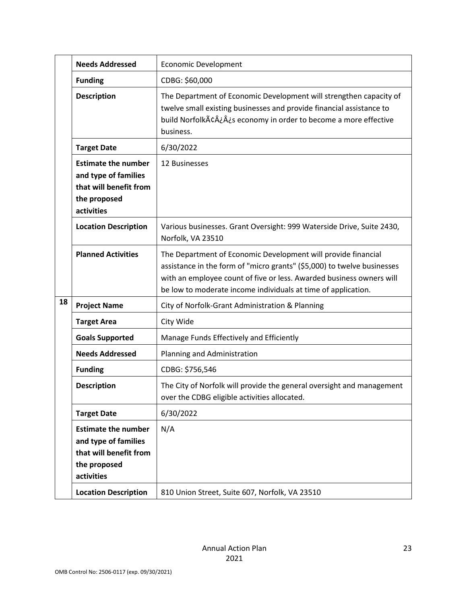|    | <b>Needs Addressed</b>                                                                                     | <b>Economic Development</b>                                                                                                                                                                                                                                                       |
|----|------------------------------------------------------------------------------------------------------------|-----------------------------------------------------------------------------------------------------------------------------------------------------------------------------------------------------------------------------------------------------------------------------------|
|    | <b>Funding</b>                                                                                             | CDBG: \$60,000                                                                                                                                                                                                                                                                    |
|    | <b>Description</b>                                                                                         | The Department of Economic Development will strengthen capacity of<br>twelve small existing businesses and provide financial assistance to<br>build Norfolkâ¿¿s economy in order to become a more effective<br>business.                                                          |
|    | <b>Target Date</b>                                                                                         | 6/30/2022                                                                                                                                                                                                                                                                         |
|    | <b>Estimate the number</b><br>and type of families<br>that will benefit from<br>the proposed<br>activities | 12 Businesses                                                                                                                                                                                                                                                                     |
|    | <b>Location Description</b>                                                                                | Various businesses. Grant Oversight: 999 Waterside Drive, Suite 2430,<br>Norfolk, VA 23510                                                                                                                                                                                        |
|    | <b>Planned Activities</b>                                                                                  | The Department of Economic Development will provide financial<br>assistance in the form of "micro grants" (\$5,000) to twelve businesses<br>with an employee count of five or less. Awarded business owners will<br>be low to moderate income individuals at time of application. |
| 18 | <b>Project Name</b>                                                                                        | City of Norfolk-Grant Administration & Planning                                                                                                                                                                                                                                   |
|    | <b>Target Area</b>                                                                                         | City Wide                                                                                                                                                                                                                                                                         |
|    | <b>Goals Supported</b>                                                                                     | Manage Funds Effectively and Efficiently                                                                                                                                                                                                                                          |
|    | <b>Needs Addressed</b>                                                                                     | Planning and Administration                                                                                                                                                                                                                                                       |
|    | <b>Funding</b>                                                                                             | CDBG: \$756,546                                                                                                                                                                                                                                                                   |
|    | <b>Description</b>                                                                                         | The City of Norfolk will provide the general oversight and management<br>over the CDBG eligible activities allocated.                                                                                                                                                             |
|    | <b>Target Date</b>                                                                                         | 6/30/2022                                                                                                                                                                                                                                                                         |
|    | <b>Estimate the number</b><br>and type of families<br>that will benefit from<br>the proposed<br>activities | N/A                                                                                                                                                                                                                                                                               |
|    | <b>Location Description</b>                                                                                | 810 Union Street, Suite 607, Norfolk, VA 23510                                                                                                                                                                                                                                    |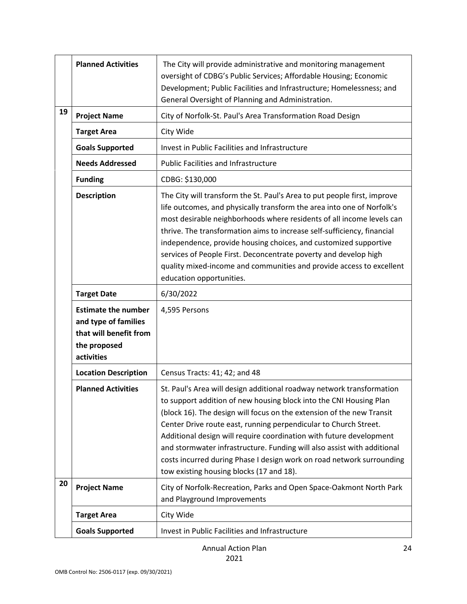|    | <b>Planned Activities</b>                                                                                  | The City will provide administrative and monitoring management<br>oversight of CDBG's Public Services; Affordable Housing; Economic<br>Development; Public Facilities and Infrastructure; Homelessness; and<br>General Oversight of Planning and Administration.                                                                                                                                                                                                                                                                                                |
|----|------------------------------------------------------------------------------------------------------------|-----------------------------------------------------------------------------------------------------------------------------------------------------------------------------------------------------------------------------------------------------------------------------------------------------------------------------------------------------------------------------------------------------------------------------------------------------------------------------------------------------------------------------------------------------------------|
| 19 | <b>Project Name</b>                                                                                        | City of Norfolk-St. Paul's Area Transformation Road Design                                                                                                                                                                                                                                                                                                                                                                                                                                                                                                      |
|    | <b>Target Area</b>                                                                                         | City Wide                                                                                                                                                                                                                                                                                                                                                                                                                                                                                                                                                       |
|    | <b>Goals Supported</b>                                                                                     | Invest in Public Facilities and Infrastructure                                                                                                                                                                                                                                                                                                                                                                                                                                                                                                                  |
|    | <b>Needs Addressed</b>                                                                                     | <b>Public Facilities and Infrastructure</b>                                                                                                                                                                                                                                                                                                                                                                                                                                                                                                                     |
|    | <b>Funding</b>                                                                                             | CDBG: \$130,000                                                                                                                                                                                                                                                                                                                                                                                                                                                                                                                                                 |
|    | <b>Description</b>                                                                                         | The City will transform the St. Paul's Area to put people first, improve<br>life outcomes, and physically transform the area into one of Norfolk's<br>most desirable neighborhoods where residents of all income levels can<br>thrive. The transformation aims to increase self-sufficiency, financial<br>independence, provide housing choices, and customized supportive<br>services of People First. Deconcentrate poverty and develop high<br>quality mixed-income and communities and provide access to excellent<br>education opportunities.              |
|    | <b>Target Date</b>                                                                                         | 6/30/2022                                                                                                                                                                                                                                                                                                                                                                                                                                                                                                                                                       |
|    | <b>Estimate the number</b><br>and type of families<br>that will benefit from<br>the proposed<br>activities | 4,595 Persons                                                                                                                                                                                                                                                                                                                                                                                                                                                                                                                                                   |
|    | <b>Location Description</b>                                                                                | Census Tracts: 41; 42; and 48                                                                                                                                                                                                                                                                                                                                                                                                                                                                                                                                   |
|    | <b>Planned Activities</b>                                                                                  | St. Paul's Area will design additional roadway network transformation<br>to support addition of new housing block into the CNI Housing Plan<br>(block 16). The design will focus on the extension of the new Transit<br>Center Drive route east, running perpendicular to Church Street.<br>Additional design will require coordination with future development<br>and stormwater infrastructure. Funding will also assist with additional<br>costs incurred during Phase I design work on road network surrounding<br>tow existing housing blocks (17 and 18). |
| 20 | <b>Project Name</b>                                                                                        | City of Norfolk-Recreation, Parks and Open Space-Oakmont North Park<br>and Playground Improvements                                                                                                                                                                                                                                                                                                                                                                                                                                                              |
|    | <b>Target Area</b>                                                                                         | City Wide                                                                                                                                                                                                                                                                                                                                                                                                                                                                                                                                                       |
|    | <b>Goals Supported</b>                                                                                     | Invest in Public Facilities and Infrastructure                                                                                                                                                                                                                                                                                                                                                                                                                                                                                                                  |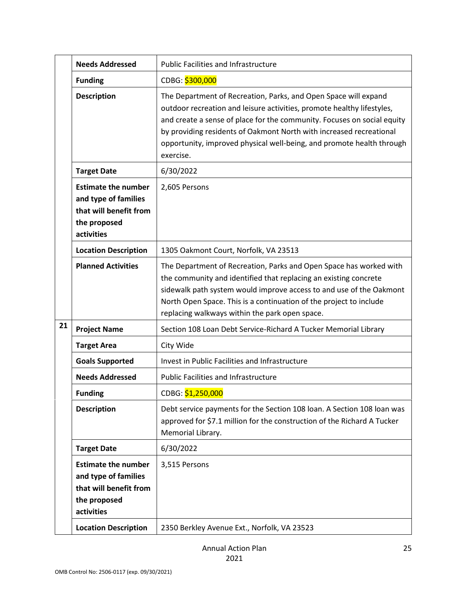|    | <b>Needs Addressed</b>                                                                                     | <b>Public Facilities and Infrastructure</b>                                                                                                                                                                                                                                                                                                                                       |
|----|------------------------------------------------------------------------------------------------------------|-----------------------------------------------------------------------------------------------------------------------------------------------------------------------------------------------------------------------------------------------------------------------------------------------------------------------------------------------------------------------------------|
|    | <b>Funding</b>                                                                                             | CDBG: \$300,000                                                                                                                                                                                                                                                                                                                                                                   |
|    | <b>Description</b>                                                                                         | The Department of Recreation, Parks, and Open Space will expand<br>outdoor recreation and leisure activities, promote healthy lifestyles,<br>and create a sense of place for the community. Focuses on social equity<br>by providing residents of Oakmont North with increased recreational<br>opportunity, improved physical well-being, and promote health through<br>exercise. |
|    | <b>Target Date</b>                                                                                         | 6/30/2022                                                                                                                                                                                                                                                                                                                                                                         |
|    | <b>Estimate the number</b><br>and type of families<br>that will benefit from<br>the proposed<br>activities | 2,605 Persons                                                                                                                                                                                                                                                                                                                                                                     |
|    | <b>Location Description</b>                                                                                | 1305 Oakmont Court, Norfolk, VA 23513                                                                                                                                                                                                                                                                                                                                             |
|    | <b>Planned Activities</b>                                                                                  | The Department of Recreation, Parks and Open Space has worked with<br>the community and identified that replacing an existing concrete<br>sidewalk path system would improve access to and use of the Oakmont<br>North Open Space. This is a continuation of the project to include<br>replacing walkways within the park open space.                                             |
| 21 | <b>Project Name</b>                                                                                        | Section 108 Loan Debt Service-Richard A Tucker Memorial Library                                                                                                                                                                                                                                                                                                                   |
|    | <b>Target Area</b>                                                                                         | City Wide                                                                                                                                                                                                                                                                                                                                                                         |
|    | <b>Goals Supported</b>                                                                                     | Invest in Public Facilities and Infrastructure                                                                                                                                                                                                                                                                                                                                    |
|    | <b>Needs Addressed</b>                                                                                     | <b>Public Facilities and Infrastructure</b>                                                                                                                                                                                                                                                                                                                                       |
|    | <b>Funding</b>                                                                                             | CDBG: \$1,250,000                                                                                                                                                                                                                                                                                                                                                                 |
|    | <b>Description</b>                                                                                         | Debt service payments for the Section 108 Ioan. A Section 108 Ioan was<br>approved for \$7.1 million for the construction of the Richard A Tucker<br>Memorial Library.                                                                                                                                                                                                            |
|    | <b>Target Date</b>                                                                                         | 6/30/2022                                                                                                                                                                                                                                                                                                                                                                         |
|    | <b>Estimate the number</b><br>and type of families<br>that will benefit from<br>the proposed<br>activities | 3,515 Persons                                                                                                                                                                                                                                                                                                                                                                     |
|    | <b>Location Description</b>                                                                                | 2350 Berkley Avenue Ext., Norfolk, VA 23523                                                                                                                                                                                                                                                                                                                                       |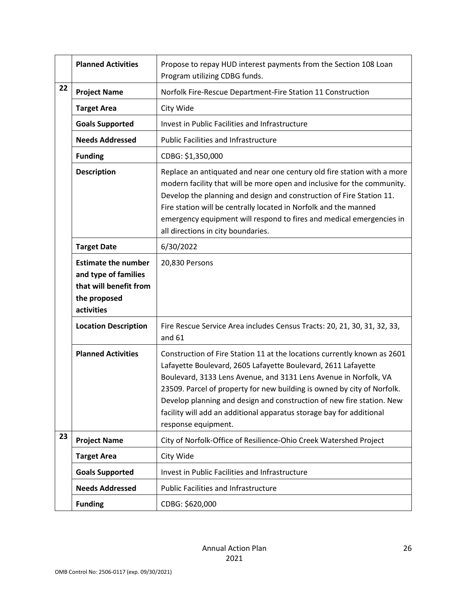|    | <b>Planned Activities</b>                                                                                  | Propose to repay HUD interest payments from the Section 108 Loan<br>Program utilizing CDBG funds.                                                                                                                                                                                                                                                                                                                                                                |
|----|------------------------------------------------------------------------------------------------------------|------------------------------------------------------------------------------------------------------------------------------------------------------------------------------------------------------------------------------------------------------------------------------------------------------------------------------------------------------------------------------------------------------------------------------------------------------------------|
| 22 | <b>Project Name</b>                                                                                        | Norfolk Fire-Rescue Department-Fire Station 11 Construction                                                                                                                                                                                                                                                                                                                                                                                                      |
|    | <b>Target Area</b>                                                                                         | City Wide                                                                                                                                                                                                                                                                                                                                                                                                                                                        |
|    | <b>Goals Supported</b>                                                                                     | Invest in Public Facilities and Infrastructure                                                                                                                                                                                                                                                                                                                                                                                                                   |
|    | <b>Needs Addressed</b>                                                                                     | <b>Public Facilities and Infrastructure</b>                                                                                                                                                                                                                                                                                                                                                                                                                      |
|    | <b>Funding</b>                                                                                             | CDBG: \$1,350,000                                                                                                                                                                                                                                                                                                                                                                                                                                                |
|    | <b>Description</b>                                                                                         | Replace an antiquated and near one century old fire station with a more<br>modern facility that will be more open and inclusive for the community.<br>Develop the planning and design and construction of Fire Station 11.<br>Fire station will be centrally located in Norfolk and the manned<br>emergency equipment will respond to fires and medical emergencies in<br>all directions in city boundaries.                                                     |
|    | <b>Target Date</b>                                                                                         | 6/30/2022                                                                                                                                                                                                                                                                                                                                                                                                                                                        |
|    | <b>Estimate the number</b><br>and type of families<br>that will benefit from<br>the proposed<br>activities | 20,830 Persons                                                                                                                                                                                                                                                                                                                                                                                                                                                   |
|    | <b>Location Description</b>                                                                                | Fire Rescue Service Area includes Census Tracts: 20, 21, 30, 31, 32, 33,<br>and $61$                                                                                                                                                                                                                                                                                                                                                                             |
|    | <b>Planned Activities</b>                                                                                  | Construction of Fire Station 11 at the locations currently known as 2601<br>Lafayette Boulevard, 2605 Lafayette Boulevard, 2611 Lafayette<br>Boulevard, 3133 Lens Avenue, and 3131 Lens Avenue in Norfolk, VA<br>23509. Parcel of property for new building is owned by city of Norfolk.<br>Develop planning and design and construction of new fire station. New<br>facility will add an additional apparatus storage bay for additional<br>response equipment. |
| 23 | <b>Project Name</b>                                                                                        | City of Norfolk-Office of Resilience-Ohio Creek Watershed Project                                                                                                                                                                                                                                                                                                                                                                                                |
|    | <b>Target Area</b>                                                                                         | City Wide                                                                                                                                                                                                                                                                                                                                                                                                                                                        |
|    | <b>Goals Supported</b>                                                                                     | <b>Invest in Public Facilities and Infrastructure</b>                                                                                                                                                                                                                                                                                                                                                                                                            |
|    | <b>Needs Addressed</b>                                                                                     | <b>Public Facilities and Infrastructure</b>                                                                                                                                                                                                                                                                                                                                                                                                                      |
|    | <b>Funding</b>                                                                                             | CDBG: \$620,000                                                                                                                                                                                                                                                                                                                                                                                                                                                  |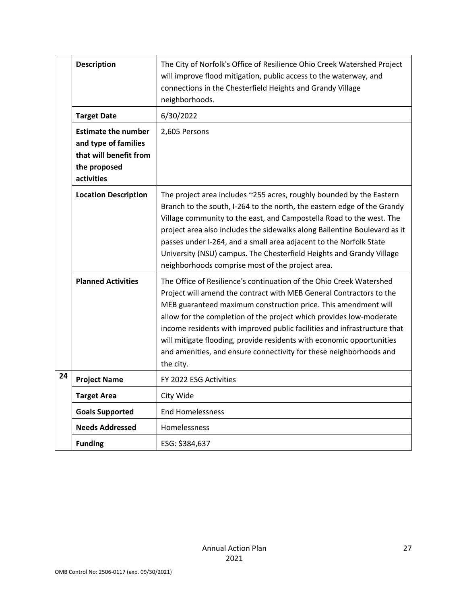|    | <b>Description</b>                                                                                         | The City of Norfolk's Office of Resilience Ohio Creek Watershed Project<br>will improve flood mitigation, public access to the waterway, and<br>connections in the Chesterfield Heights and Grandy Village<br>neighborhoods.                                                                                                                                                                                                                                                                                                |
|----|------------------------------------------------------------------------------------------------------------|-----------------------------------------------------------------------------------------------------------------------------------------------------------------------------------------------------------------------------------------------------------------------------------------------------------------------------------------------------------------------------------------------------------------------------------------------------------------------------------------------------------------------------|
|    | <b>Target Date</b>                                                                                         | 6/30/2022                                                                                                                                                                                                                                                                                                                                                                                                                                                                                                                   |
|    | <b>Estimate the number</b><br>and type of families<br>that will benefit from<br>the proposed<br>activities | 2,605 Persons                                                                                                                                                                                                                                                                                                                                                                                                                                                                                                               |
|    | <b>Location Description</b>                                                                                | The project area includes ~255 acres, roughly bounded by the Eastern<br>Branch to the south, I-264 to the north, the eastern edge of the Grandy<br>Village community to the east, and Campostella Road to the west. The<br>project area also includes the sidewalks along Ballentine Boulevard as it<br>passes under I-264, and a small area adjacent to the Norfolk State<br>University (NSU) campus. The Chesterfield Heights and Grandy Village<br>neighborhoods comprise most of the project area.                      |
|    | <b>Planned Activities</b>                                                                                  | The Office of Resilience's continuation of the Ohio Creek Watershed<br>Project will amend the contract with MEB General Contractors to the<br>MEB guaranteed maximum construction price. This amendment will<br>allow for the completion of the project which provides low-moderate<br>income residents with improved public facilities and infrastructure that<br>will mitigate flooding, provide residents with economic opportunities<br>and amenities, and ensure connectivity for these neighborhoods and<br>the city. |
| 24 | <b>Project Name</b>                                                                                        | FY 2022 ESG Activities                                                                                                                                                                                                                                                                                                                                                                                                                                                                                                      |
|    | <b>Target Area</b>                                                                                         | City Wide                                                                                                                                                                                                                                                                                                                                                                                                                                                                                                                   |
|    | <b>Goals Supported</b>                                                                                     | <b>End Homelessness</b>                                                                                                                                                                                                                                                                                                                                                                                                                                                                                                     |
|    | <b>Needs Addressed</b>                                                                                     | Homelessness                                                                                                                                                                                                                                                                                                                                                                                                                                                                                                                |
|    | <b>Funding</b>                                                                                             | ESG: \$384,637                                                                                                                                                                                                                                                                                                                                                                                                                                                                                                              |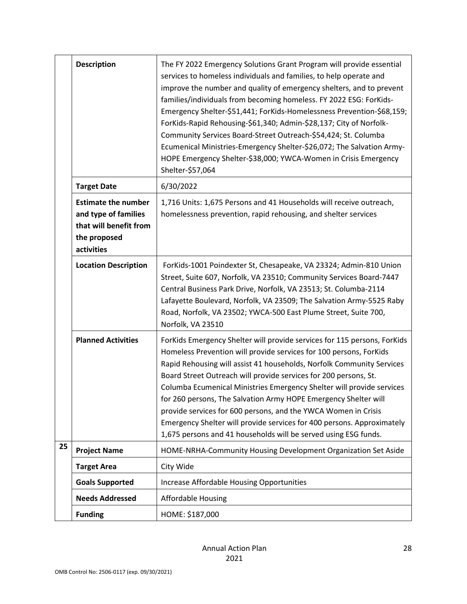|    | <b>Description</b>                                                                                         | The FY 2022 Emergency Solutions Grant Program will provide essential<br>services to homeless individuals and families, to help operate and<br>improve the number and quality of emergency shelters, and to prevent<br>families/individuals from becoming homeless. FY 2022 ESG: ForKids-<br>Emergency Shelter-\$51,441; ForKids-Homelessness Prevention-\$68,159;<br>ForKids-Rapid Rehousing-\$61,340; Admin-\$28,137; City of Norfolk-<br>Community Services Board-Street Outreach-\$54,424; St. Columba<br>Ecumenical Ministries-Emergency Shelter-\$26,072; The Salvation Army-<br>HOPE Emergency Shelter-\$38,000; YWCA-Women in Crisis Emergency<br>Shelter-\$57,064 |
|----|------------------------------------------------------------------------------------------------------------|---------------------------------------------------------------------------------------------------------------------------------------------------------------------------------------------------------------------------------------------------------------------------------------------------------------------------------------------------------------------------------------------------------------------------------------------------------------------------------------------------------------------------------------------------------------------------------------------------------------------------------------------------------------------------|
|    | <b>Target Date</b>                                                                                         | 6/30/2022                                                                                                                                                                                                                                                                                                                                                                                                                                                                                                                                                                                                                                                                 |
|    | <b>Estimate the number</b><br>and type of families<br>that will benefit from<br>the proposed<br>activities | 1,716 Units: 1,675 Persons and 41 Households will receive outreach,<br>homelessness prevention, rapid rehousing, and shelter services                                                                                                                                                                                                                                                                                                                                                                                                                                                                                                                                     |
|    | <b>Location Description</b>                                                                                | ForKids-1001 Poindexter St, Chesapeake, VA 23324; Admin-810 Union<br>Street, Suite 607, Norfolk, VA 23510; Community Services Board-7447<br>Central Business Park Drive, Norfolk, VA 23513; St. Columba-2114<br>Lafayette Boulevard, Norfolk, VA 23509; The Salvation Army-5525 Raby<br>Road, Norfolk, VA 23502; YWCA-500 East Plume Street, Suite 700,<br>Norfolk, VA 23510                                                                                                                                                                                                                                                                                              |
|    | <b>Planned Activities</b>                                                                                  | ForKids Emergency Shelter will provide services for 115 persons, ForKids<br>Homeless Prevention will provide services for 100 persons, ForKids<br>Rapid Rehousing will assist 41 households, Norfolk Community Services<br>Board Street Outreach will provide services for 200 persons, St.<br>Columba Ecumenical Ministries Emergency Shelter will provide services<br>for 260 persons, The Salvation Army HOPE Emergency Shelter will<br>provide services for 600 persons, and the YWCA Women in Crisis<br>Emergency Shelter will provide services for 400 persons. Approximately<br>1,675 persons and 41 households will be served using ESG funds.                    |
| 25 | <b>Project Name</b>                                                                                        | HOME-NRHA-Community Housing Development Organization Set Aside                                                                                                                                                                                                                                                                                                                                                                                                                                                                                                                                                                                                            |
|    | <b>Target Area</b>                                                                                         | City Wide                                                                                                                                                                                                                                                                                                                                                                                                                                                                                                                                                                                                                                                                 |
|    | <b>Goals Supported</b>                                                                                     | Increase Affordable Housing Opportunities                                                                                                                                                                                                                                                                                                                                                                                                                                                                                                                                                                                                                                 |
|    | <b>Needs Addressed</b>                                                                                     | <b>Affordable Housing</b>                                                                                                                                                                                                                                                                                                                                                                                                                                                                                                                                                                                                                                                 |
|    | <b>Funding</b>                                                                                             | HOME: \$187,000                                                                                                                                                                                                                                                                                                                                                                                                                                                                                                                                                                                                                                                           |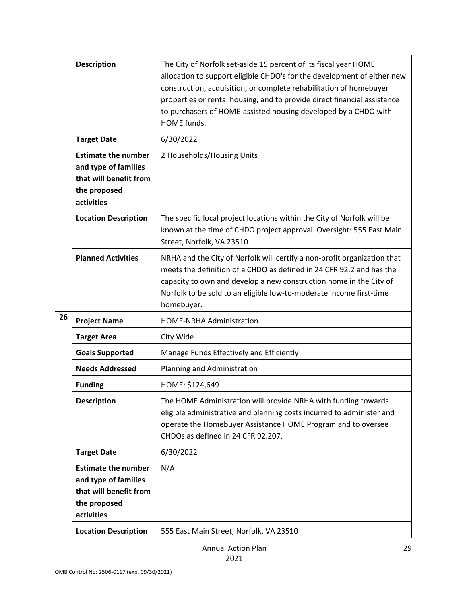|    | <b>Description</b>                                                                                         | The City of Norfolk set-aside 15 percent of its fiscal year HOME<br>allocation to support eligible CHDO's for the development of either new<br>construction, acquisition, or complete rehabilitation of homebuyer<br>properties or rental housing, and to provide direct financial assistance<br>to purchasers of HOME-assisted housing developed by a CHDO with<br>HOME funds. |
|----|------------------------------------------------------------------------------------------------------------|---------------------------------------------------------------------------------------------------------------------------------------------------------------------------------------------------------------------------------------------------------------------------------------------------------------------------------------------------------------------------------|
|    | <b>Target Date</b>                                                                                         | 6/30/2022                                                                                                                                                                                                                                                                                                                                                                       |
|    | <b>Estimate the number</b><br>and type of families<br>that will benefit from<br>the proposed<br>activities | 2 Households/Housing Units                                                                                                                                                                                                                                                                                                                                                      |
|    | <b>Location Description</b>                                                                                | The specific local project locations within the City of Norfolk will be<br>known at the time of CHDO project approval. Oversight: 555 East Main<br>Street, Norfolk, VA 23510                                                                                                                                                                                                    |
|    | <b>Planned Activities</b>                                                                                  | NRHA and the City of Norfolk will certify a non-profit organization that<br>meets the definition of a CHDO as defined in 24 CFR 92.2 and has the<br>capacity to own and develop a new construction home in the City of<br>Norfolk to be sold to an eligible low-to-moderate income first-time<br>homebuyer.                                                                     |
| 26 | <b>Project Name</b>                                                                                        | <b>HOME-NRHA Administration</b>                                                                                                                                                                                                                                                                                                                                                 |
|    | <b>Target Area</b>                                                                                         | City Wide                                                                                                                                                                                                                                                                                                                                                                       |
|    | <b>Goals Supported</b>                                                                                     | Manage Funds Effectively and Efficiently                                                                                                                                                                                                                                                                                                                                        |
|    | <b>Needs Addressed</b>                                                                                     | Planning and Administration                                                                                                                                                                                                                                                                                                                                                     |
|    | <b>Funding</b>                                                                                             | HOME: \$124,649                                                                                                                                                                                                                                                                                                                                                                 |
|    | <b>Description</b>                                                                                         | The HOME Administration will provide NRHA with funding towards<br>eligible administrative and planning costs incurred to administer and<br>operate the Homebuyer Assistance HOME Program and to oversee<br>CHDOs as defined in 24 CFR 92.207.                                                                                                                                   |
|    | <b>Target Date</b>                                                                                         | 6/30/2022                                                                                                                                                                                                                                                                                                                                                                       |
|    | <b>Estimate the number</b><br>and type of families<br>that will benefit from<br>the proposed<br>activities | N/A                                                                                                                                                                                                                                                                                                                                                                             |
|    | <b>Location Description</b>                                                                                | 555 East Main Street, Norfolk, VA 23510                                                                                                                                                                                                                                                                                                                                         |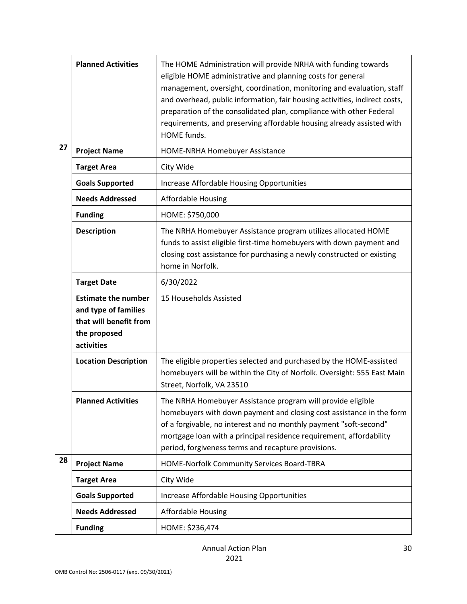|    | <b>Planned Activities</b>                                                                                  | The HOME Administration will provide NRHA with funding towards<br>eligible HOME administrative and planning costs for general<br>management, oversight, coordination, monitoring and evaluation, staff<br>and overhead, public information, fair housing activities, indirect costs,<br>preparation of the consolidated plan, compliance with other Federal<br>requirements, and preserving affordable housing already assisted with<br>HOME funds. |
|----|------------------------------------------------------------------------------------------------------------|-----------------------------------------------------------------------------------------------------------------------------------------------------------------------------------------------------------------------------------------------------------------------------------------------------------------------------------------------------------------------------------------------------------------------------------------------------|
| 27 | <b>Project Name</b>                                                                                        | HOME-NRHA Homebuyer Assistance                                                                                                                                                                                                                                                                                                                                                                                                                      |
|    | <b>Target Area</b>                                                                                         | City Wide                                                                                                                                                                                                                                                                                                                                                                                                                                           |
|    | <b>Goals Supported</b>                                                                                     | Increase Affordable Housing Opportunities                                                                                                                                                                                                                                                                                                                                                                                                           |
|    | <b>Needs Addressed</b>                                                                                     | <b>Affordable Housing</b>                                                                                                                                                                                                                                                                                                                                                                                                                           |
|    | <b>Funding</b>                                                                                             | HOME: \$750,000                                                                                                                                                                                                                                                                                                                                                                                                                                     |
|    | <b>Description</b>                                                                                         | The NRHA Homebuyer Assistance program utilizes allocated HOME<br>funds to assist eligible first-time homebuyers with down payment and<br>closing cost assistance for purchasing a newly constructed or existing<br>home in Norfolk.                                                                                                                                                                                                                 |
|    | <b>Target Date</b>                                                                                         | 6/30/2022                                                                                                                                                                                                                                                                                                                                                                                                                                           |
|    | <b>Estimate the number</b><br>and type of families<br>that will benefit from<br>the proposed<br>activities | 15 Households Assisted                                                                                                                                                                                                                                                                                                                                                                                                                              |
|    | <b>Location Description</b>                                                                                | The eligible properties selected and purchased by the HOME-assisted<br>homebuyers will be within the City of Norfolk. Oversight: 555 East Main<br>Street, Norfolk, VA 23510                                                                                                                                                                                                                                                                         |
|    | <b>Planned Activities</b>                                                                                  | The NRHA Homebuyer Assistance program will provide eligible<br>homebuyers with down payment and closing cost assistance in the form<br>of a forgivable, no interest and no monthly payment "soft-second"<br>mortgage loan with a principal residence requirement, affordability<br>period, forgiveness terms and recapture provisions.                                                                                                              |
| 28 | <b>Project Name</b>                                                                                        | HOME-Norfolk Community Services Board-TBRA                                                                                                                                                                                                                                                                                                                                                                                                          |
|    | <b>Target Area</b>                                                                                         | City Wide                                                                                                                                                                                                                                                                                                                                                                                                                                           |
|    | <b>Goals Supported</b>                                                                                     | Increase Affordable Housing Opportunities                                                                                                                                                                                                                                                                                                                                                                                                           |
|    | <b>Needs Addressed</b>                                                                                     | <b>Affordable Housing</b>                                                                                                                                                                                                                                                                                                                                                                                                                           |
|    | <b>Funding</b>                                                                                             | HOME: \$236,474                                                                                                                                                                                                                                                                                                                                                                                                                                     |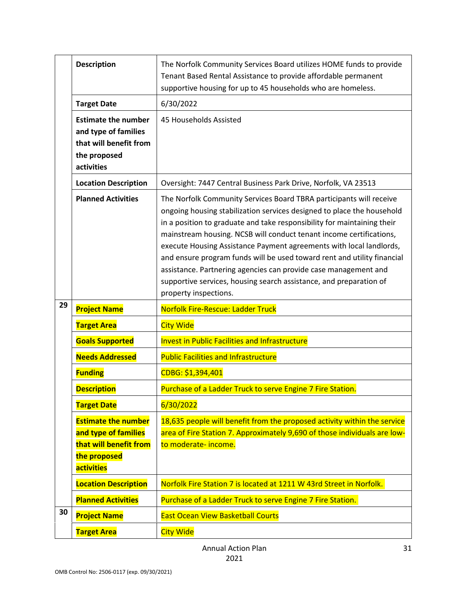|    | <b>Description</b>                                                                                                | The Norfolk Community Services Board utilizes HOME funds to provide<br>Tenant Based Rental Assistance to provide affordable permanent<br>supportive housing for up to 45 households who are homeless.                                                                                                                                                                                                                                                                                                                                                                                                               |
|----|-------------------------------------------------------------------------------------------------------------------|---------------------------------------------------------------------------------------------------------------------------------------------------------------------------------------------------------------------------------------------------------------------------------------------------------------------------------------------------------------------------------------------------------------------------------------------------------------------------------------------------------------------------------------------------------------------------------------------------------------------|
|    | <b>Target Date</b>                                                                                                | 6/30/2022                                                                                                                                                                                                                                                                                                                                                                                                                                                                                                                                                                                                           |
|    | <b>Estimate the number</b><br>and type of families<br>that will benefit from<br>the proposed<br>activities        | 45 Households Assisted                                                                                                                                                                                                                                                                                                                                                                                                                                                                                                                                                                                              |
|    | <b>Location Description</b>                                                                                       | Oversight: 7447 Central Business Park Drive, Norfolk, VA 23513                                                                                                                                                                                                                                                                                                                                                                                                                                                                                                                                                      |
|    | <b>Planned Activities</b>                                                                                         | The Norfolk Community Services Board TBRA participants will receive<br>ongoing housing stabilization services designed to place the household<br>in a position to graduate and take responsibility for maintaining their<br>mainstream housing. NCSB will conduct tenant income certifications,<br>execute Housing Assistance Payment agreements with local landlords,<br>and ensure program funds will be used toward rent and utility financial<br>assistance. Partnering agencies can provide case management and<br>supportive services, housing search assistance, and preparation of<br>property inspections. |
|    |                                                                                                                   |                                                                                                                                                                                                                                                                                                                                                                                                                                                                                                                                                                                                                     |
| 29 | <b>Project Name</b>                                                                                               | <b>Norfolk Fire-Rescue: Ladder Truck</b>                                                                                                                                                                                                                                                                                                                                                                                                                                                                                                                                                                            |
|    | <b>Target Area</b>                                                                                                | <b>City Wide</b>                                                                                                                                                                                                                                                                                                                                                                                                                                                                                                                                                                                                    |
|    | <b>Goals Supported</b>                                                                                            | <b>Invest in Public Facilities and Infrastructure</b>                                                                                                                                                                                                                                                                                                                                                                                                                                                                                                                                                               |
|    | <b>Needs Addressed</b>                                                                                            | <b>Public Facilities and Infrastructure</b>                                                                                                                                                                                                                                                                                                                                                                                                                                                                                                                                                                         |
|    | <b>Funding</b>                                                                                                    | CDBG: \$1,394,401                                                                                                                                                                                                                                                                                                                                                                                                                                                                                                                                                                                                   |
|    | <b>Description</b>                                                                                                | Purchase of a Ladder Truck to serve Engine 7 Fire Station.                                                                                                                                                                                                                                                                                                                                                                                                                                                                                                                                                          |
|    | <b>Target Date</b>                                                                                                | 6/30/2022                                                                                                                                                                                                                                                                                                                                                                                                                                                                                                                                                                                                           |
|    | <b>Estimate the number</b><br>and type of families<br>that will benefit from<br>the proposed<br><b>activities</b> | 18,635 people will benefit from the proposed activity within the service<br>area of Fire Station 7. Approximately 9,690 of those individuals are low-<br>to moderate-income.                                                                                                                                                                                                                                                                                                                                                                                                                                        |
|    | <b>Location Description</b>                                                                                       | Norfolk Fire Station 7 is located at 1211 W 43rd Street in Norfolk.                                                                                                                                                                                                                                                                                                                                                                                                                                                                                                                                                 |
|    | <b>Planned Activities</b>                                                                                         | Purchase of a Ladder Truck to serve Engine 7 Fire Station.                                                                                                                                                                                                                                                                                                                                                                                                                                                                                                                                                          |
| 30 | <b>Project Name</b>                                                                                               | <b>East Ocean View Basketball Courts</b>                                                                                                                                                                                                                                                                                                                                                                                                                                                                                                                                                                            |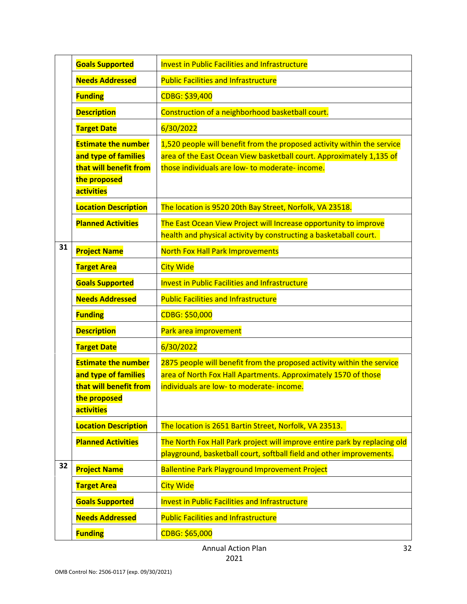|    | <b>Goals Supported</b>                                                                                            | <b>Invest in Public Facilities and Infrastructure</b>                                                                                                                                             |
|----|-------------------------------------------------------------------------------------------------------------------|---------------------------------------------------------------------------------------------------------------------------------------------------------------------------------------------------|
|    | <b>Needs Addressed</b>                                                                                            | <b>Public Facilities and Infrastructure</b>                                                                                                                                                       |
|    | <b>Funding</b>                                                                                                    | CDBG: \$39,400                                                                                                                                                                                    |
|    | <b>Description</b>                                                                                                | Construction of a neighborhood basketball court.                                                                                                                                                  |
|    | <b>Target Date</b>                                                                                                | 6/30/2022                                                                                                                                                                                         |
|    | <b>Estimate the number</b><br>and type of families<br>that will benefit from<br>the proposed<br><b>activities</b> | 1,520 people will benefit from the proposed activity within the service<br>area of the East Ocean View basketball court. Approximately 1,135 of<br>those individuals are low- to moderate-income. |
|    | <b>Location Description</b>                                                                                       | The location is 9520 20th Bay Street, Norfolk, VA 23518.                                                                                                                                          |
|    | <b>Planned Activities</b>                                                                                         | The East Ocean View Project will Increase opportunity to improve<br>health and physical activity by constructing a basketaball court.                                                             |
| 31 | <b>Project Name</b>                                                                                               | <b>North Fox Hall Park Improvements</b>                                                                                                                                                           |
|    | <b>Target Area</b>                                                                                                | <b>City Wide</b>                                                                                                                                                                                  |
|    | <b>Goals Supported</b>                                                                                            | <b>Invest in Public Facilities and Infrastructure</b>                                                                                                                                             |
|    | <b>Needs Addressed</b>                                                                                            | <b>Public Facilities and Infrastructure</b>                                                                                                                                                       |
|    | <b>Funding</b>                                                                                                    | CDBG: \$50,000                                                                                                                                                                                    |
|    | <b>Description</b>                                                                                                | Park area improvement                                                                                                                                                                             |
|    | <b>Target Date</b>                                                                                                | 6/30/2022                                                                                                                                                                                         |
|    | <b>Estimate the number</b><br>and type of families<br>that will benefit from<br>the proposed<br>activities        | 2875 people will benefit from the proposed activity within the service<br>area of North Fox Hall Apartments. Approximately 1570 of those<br>individuals are low- to moderate- income.             |
|    | <b>Location Description</b>                                                                                       | The location is 2651 Bartin Street, Norfolk, VA 23513.                                                                                                                                            |
|    | <b>Planned Activities</b>                                                                                         | The North Fox Hall Park project will improve entire park by replacing old<br>playground, basketball court, softball field and other improvements.                                                 |
| 32 | <b>Project Name</b>                                                                                               | <b>Ballentine Park Playground Improvement Project</b>                                                                                                                                             |
|    | <b>Target Area</b>                                                                                                | <b>City Wide</b>                                                                                                                                                                                  |
|    | <b>Goals Supported</b>                                                                                            | <b>Invest in Public Facilities and Infrastructure</b>                                                                                                                                             |
|    | <b>Needs Addressed</b>                                                                                            | <b>Public Facilities and Infrastructure</b>                                                                                                                                                       |
|    | <b>Funding</b>                                                                                                    | CDBG: \$65,000                                                                                                                                                                                    |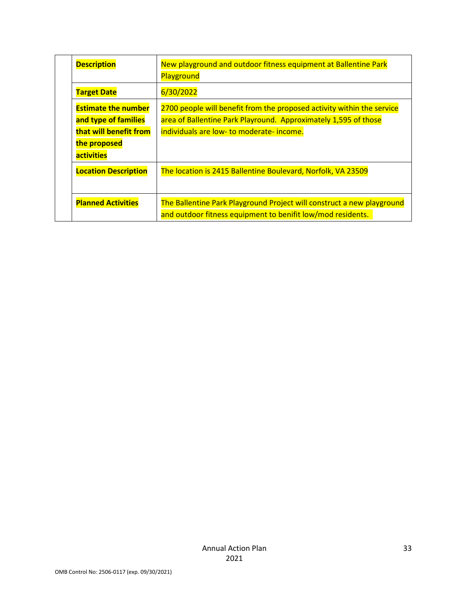| <b>Description</b>                                                                                                | New playground and outdoor fitness equipment at Ballentine Park<br>Playground                                                                                                          |
|-------------------------------------------------------------------------------------------------------------------|----------------------------------------------------------------------------------------------------------------------------------------------------------------------------------------|
| <b>Target Date</b>                                                                                                | 6/30/2022                                                                                                                                                                              |
| <b>Estimate the number</b><br>and type of families<br>that will benefit from<br>the proposed<br><b>activities</b> | 2700 people will benefit from the proposed activity within the service<br>area of Ballentine Park Playround. Approximately 1,595 of those<br>individuals are low- to moderate- income. |
| <b>Location Description</b>                                                                                       | The location is 2415 Ballentine Boulevard, Norfolk, VA 23509                                                                                                                           |
| <b>Planned Activities</b>                                                                                         | The Ballentine Park Playground Project will construct a new playground<br>and outdoor fitness equipment to benifit low/mod residents.                                                  |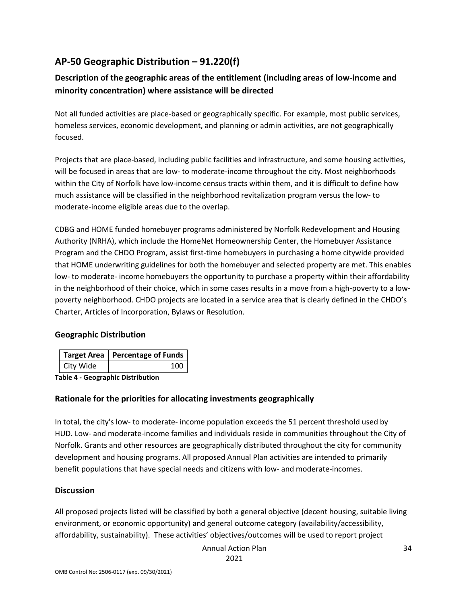# **AP-50 Geographic Distribution – 91.220(f)**

### **Description of the geographic areas of the entitlement (including areas of low-income and minority concentration) where assistance will be directed**

Not all funded activities are place-based or geographically specific. For example, most public services, homeless services, economic development, and planning or admin activities, are not geographically focused.

Projects that are place-based, including public facilities and infrastructure, and some housing activities, will be focused in areas that are low- to moderate-income throughout the city. Most neighborhoods within the City of Norfolk have low-income census tracts within them, and it is difficult to define how much assistance will be classified in the neighborhood revitalization program versus the low- to moderate-income eligible areas due to the overlap.

CDBG and HOME funded homebuyer programs administered by Norfolk Redevelopment and Housing Authority (NRHA), which include the HomeNet Homeownership Center, the Homebuyer Assistance Program and the CHDO Program, assist first-time homebuyers in purchasing a home citywide provided that HOME underwriting guidelines for both the homebuyer and selected property are met. This enables low- to moderate- income homebuyers the opportunity to purchase a property within their affordability in the neighborhood of their choice, which in some cases results in a move from a high-poverty to a lowpoverty neighborhood. CHDO projects are located in a service area that is clearly defined in the CHDO's Charter, Articles of Incorporation, Bylaws or Resolution.

### **Geographic Distribution**

|           | Target Area   Percentage of Funds |  |
|-----------|-----------------------------------|--|
| City Wide | 100                               |  |

**Table 4 - Geographic Distribution** 

### **Rationale for the priorities for allocating investments geographically**

In total, the city's low- to moderate- income population exceeds the 51 percent threshold used by HUD. Low- and moderate-income families and individuals reside in communities throughout the City of Norfolk. Grants and other resources are geographically distributed throughout the city for community development and housing programs. All proposed Annual Plan activities are intended to primarily benefit populations that have special needs and citizens with low- and moderate-incomes.

### **Discussion**

All proposed projects listed will be classified by both a general objective (decent housing, suitable living environment, or economic opportunity) and general outcome category (availability/accessibility, affordability, sustainability). These activities' objectives/outcomes will be used to report project

Annual Action Plan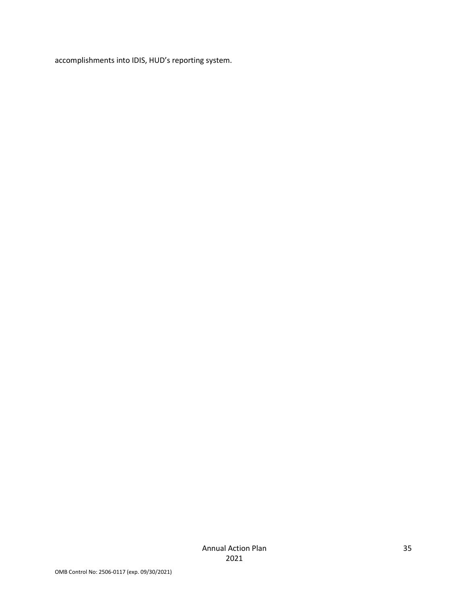accomplishments into IDIS, HUD's reporting system.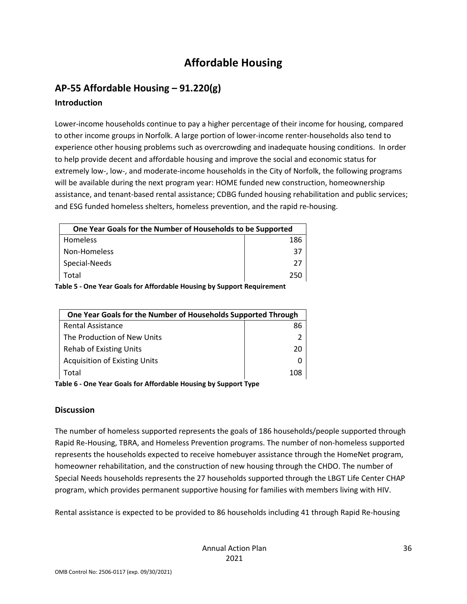# **Affordable Housing**

# **AP-55 Affordable Housing – 91.220(g)**

### **Introduction**

Lower-income households continue to pay a higher percentage of their income for housing, compared to other income groups in Norfolk. A large portion of lower-income renter-households also tend to experience other housing problems such as overcrowding and inadequate housing conditions. In order to help provide decent and affordable housing and improve the social and economic status for extremely low-, low-, and moderate-income households in the City of Norfolk, the following programs will be available during the next program year: HOME funded new construction, homeownership assistance, and tenant-based rental assistance; CDBG funded housing rehabilitation and public services; and ESG funded homeless shelters, homeless prevention, and the rapid re-housing.

| One Year Goals for the Number of Households to be Supported             |     |
|-------------------------------------------------------------------------|-----|
| Homeless                                                                | 186 |
| Non-Homeless                                                            | 37  |
| Special-Needs                                                           | 27  |
| Total                                                                   | 250 |
| 'abla E - Owa Vaas Caala fas Affasdabla Harraiga bri Crissaut Damilianu |     |

**Table 5 - One Year Goals for Affordable Housing by Support Requirement** 

| One Year Goals for the Number of Households Supported Through |    |
|---------------------------------------------------------------|----|
| <b>Rental Assistance</b>                                      | 86 |
| The Production of New Units                                   |    |
| Rehab of Existing Units                                       | 20 |
| <b>Acquisition of Existing Units</b>                          |    |
| Total                                                         |    |

**Table 6 - One Year Goals for Affordable Housing by Support Type** 

### **Discussion**

The number of homeless supported represents the goals of 186 households/people supported through Rapid Re-Housing, TBRA, and Homeless Prevention programs. The number of non-homeless supported represents the households expected to receive homebuyer assistance through the HomeNet program, homeowner rehabilitation, and the construction of new housing through the CHDO. The number of Special Needs households represents the 27 households supported through the LBGT Life Center CHAP program, which provides permanent supportive housing for families with members living with HIV.

Rental assistance is expected to be provided to 86 households including 41 through Rapid Re-housing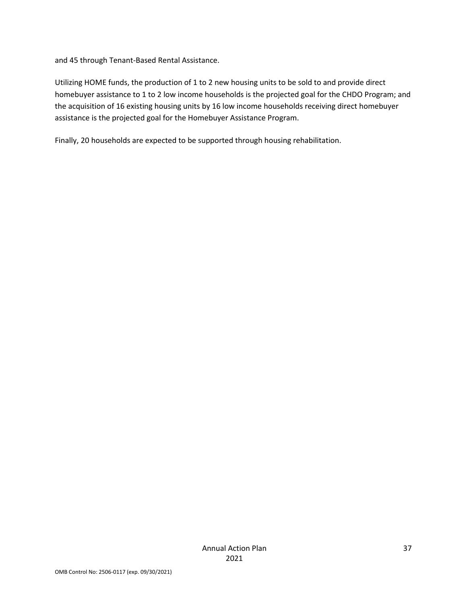and 45 through Tenant-Based Rental Assistance.

Utilizing HOME funds, the production of 1 to 2 new housing units to be sold to and provide direct homebuyer assistance to 1 to 2 low income households is the projected goal for the CHDO Program; and the acquisition of 16 existing housing units by 16 low income households receiving direct homebuyer assistance is the projected goal for the Homebuyer Assistance Program.

Finally, 20 households are expected to be supported through housing rehabilitation.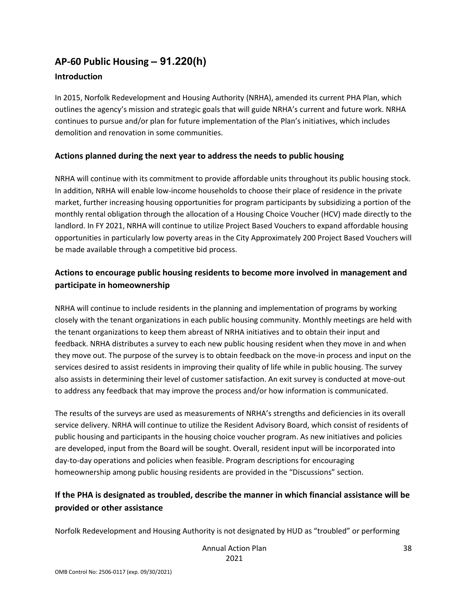# **AP-60 Public Housing** *–* **91.220(h)**

### **Introduction**

In 2015, Norfolk Redevelopment and Housing Authority (NRHA), amended its current PHA Plan, which outlines the agency's mission and strategic goals that will guide NRHA's current and future work. NRHA continues to pursue and/or plan for future implementation of the Plan's initiatives, which includes demolition and renovation in some communities.

### **Actions planned during the next year to address the needs to public housing**

NRHA will continue with its commitment to provide affordable units throughout its public housing stock. In addition, NRHA will enable low-income households to choose their place of residence in the private market, further increasing housing opportunities for program participants by subsidizing a portion of the monthly rental obligation through the allocation of a Housing Choice Voucher (HCV) made directly to the landlord. In FY 2021, NRHA will continue to utilize Project Based Vouchers to expand affordable housing opportunities in particularly low poverty areas in the City Approximately 200 Project Based Vouchers will be made available through a competitive bid process.

### **Actions to encourage public housing residents to become more involved in management and participate in homeownership**

NRHA will continue to include residents in the planning and implementation of programs by working closely with the tenant organizations in each public housing community. Monthly meetings are held with the tenant organizations to keep them abreast of NRHA initiatives and to obtain their input and feedback. NRHA distributes a survey to each new public housing resident when they move in and when they move out. The purpose of the survey is to obtain feedback on the move-in process and input on the services desired to assist residents in improving their quality of life while in public housing. The survey also assists in determining their level of customer satisfaction. An exit survey is conducted at move-out to address any feedback that may improve the process and/or how information is communicated.

The results of the surveys are used as measurements of NRHA's strengths and deficiencies in its overall service delivery. NRHA will continue to utilize the Resident Advisory Board, which consist of residents of public housing and participants in the housing choice voucher program. As new initiatives and policies are developed, input from the Board will be sought. Overall, resident input will be incorporated into day-to-day operations and policies when feasible. Program descriptions for encouraging homeownership among public housing residents are provided in the "Discussions" section.

### **If the PHA is designated as troubled, describe the manner in which financial assistance will be provided or other assistance**

Norfolk Redevelopment and Housing Authority is not designated by HUD as "troubled" or performing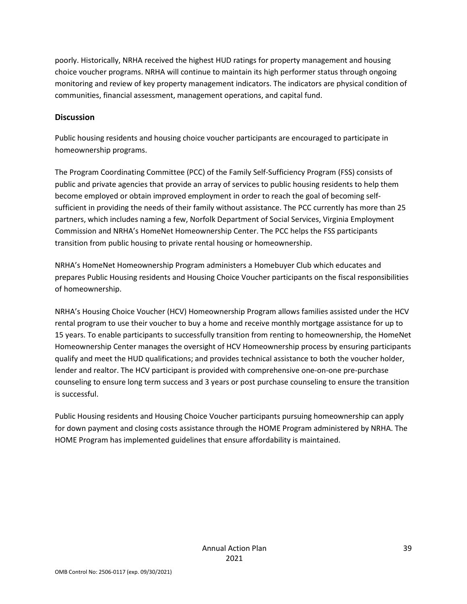poorly. Historically, NRHA received the highest HUD ratings for property management and housing choice voucher programs. NRHA will continue to maintain its high performer status through ongoing monitoring and review of key property management indicators. The indicators are physical condition of communities, financial assessment, management operations, and capital fund.

### **Discussion**

Public housing residents and housing choice voucher participants are encouraged to participate in homeownership programs.

The Program Coordinating Committee (PCC) of the Family Self-Sufficiency Program (FSS) consists of public and private agencies that provide an array of services to public housing residents to help them become employed or obtain improved employment in order to reach the goal of becoming selfsufficient in providing the needs of their family without assistance. The PCC currently has more than 25 partners, which includes naming a few, Norfolk Department of Social Services, Virginia Employment Commission and NRHA's HomeNet Homeownership Center. The PCC helps the FSS participants transition from public housing to private rental housing or homeownership.

NRHA's HomeNet Homeownership Program administers a Homebuyer Club which educates and prepares Public Housing residents and Housing Choice Voucher participants on the fiscal responsibilities of homeownership.

NRHA's Housing Choice Voucher (HCV) Homeownership Program allows families assisted under the HCV rental program to use their voucher to buy a home and receive monthly mortgage assistance for up to 15 years. To enable participants to successfully transition from renting to homeownership, the HomeNet Homeownership Center manages the oversight of HCV Homeownership process by ensuring participants qualify and meet the HUD qualifications; and provides technical assistance to both the voucher holder, lender and realtor. The HCV participant is provided with comprehensive one-on-one pre-purchase counseling to ensure long term success and 3 years or post purchase counseling to ensure the transition is successful.

Public Housing residents and Housing Choice Voucher participants pursuing homeownership can apply for down payment and closing costs assistance through the HOME Program administered by NRHA. The HOME Program has implemented guidelines that ensure affordability is maintained.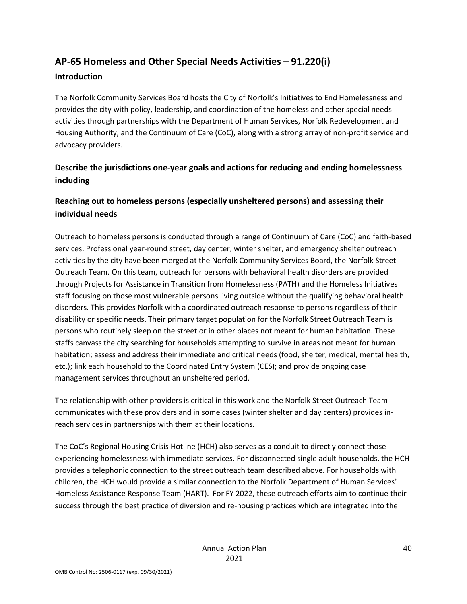# **AP-65 Homeless and Other Special Needs Activities – 91.220(i)**

### **Introduction**

The Norfolk Community Services Board hosts the City of Norfolk's Initiatives to End Homelessness and provides the city with policy, leadership, and coordination of the homeless and other special needs activities through partnerships with the Department of Human Services, Norfolk Redevelopment and Housing Authority, and the Continuum of Care (CoC), along with a strong array of non-profit service and advocacy providers.

# **Describe the jurisdictions one-year goals and actions for reducing and ending homelessness including**

# **Reaching out to homeless persons (especially unsheltered persons) and assessing their individual needs**

Outreach to homeless persons is conducted through a range of Continuum of Care (CoC) and faith-based services. Professional year-round street, day center, winter shelter, and emergency shelter outreach activities by the city have been merged at the Norfolk Community Services Board, the Norfolk Street Outreach Team. On this team, outreach for persons with behavioral health disorders are provided through Projects for Assistance in Transition from Homelessness (PATH) and the Homeless Initiatives staff focusing on those most vulnerable persons living outside without the qualifying behavioral health disorders. This provides Norfolk with a coordinated outreach response to persons regardless of their disability or specific needs. Their primary target population for the Norfolk Street Outreach Team is persons who routinely sleep on the street or in other places not meant for human habitation. These staffs canvass the city searching for households attempting to survive in areas not meant for human habitation; assess and address their immediate and critical needs (food, shelter, medical, mental health, etc.); link each household to the Coordinated Entry System (CES); and provide ongoing case management services throughout an unsheltered period.

The relationship with other providers is critical in this work and the Norfolk Street Outreach Team communicates with these providers and in some cases (winter shelter and day centers) provides inreach services in partnerships with them at their locations.

The CoC's Regional Housing Crisis Hotline (HCH) also serves as a conduit to directly connect those experiencing homelessness with immediate services. For disconnected single adult households, the HCH provides a telephonic connection to the street outreach team described above. For households with children, the HCH would provide a similar connection to the Norfolk Department of Human Services' Homeless Assistance Response Team (HART). For FY 2022, these outreach efforts aim to continue their success through the best practice of diversion and re-housing practices which are integrated into the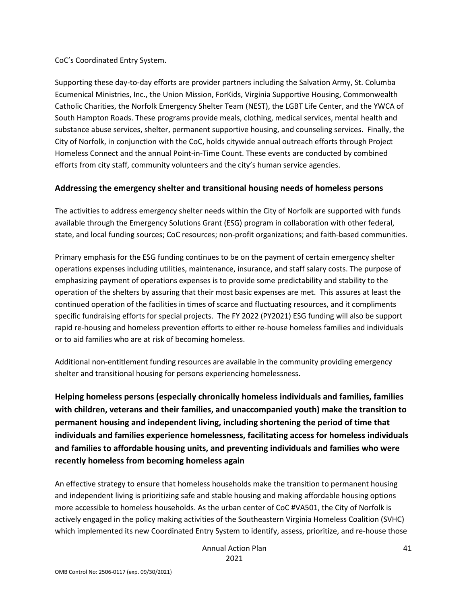CoC's Coordinated Entry System.

Supporting these day-to-day efforts are provider partners including the Salvation Army, St. Columba Ecumenical Ministries, Inc., the Union Mission, ForKids, Virginia Supportive Housing, Commonwealth Catholic Charities, the Norfolk Emergency Shelter Team (NEST), the LGBT Life Center, and the YWCA of South Hampton Roads. These programs provide meals, clothing, medical services, mental health and substance abuse services, shelter, permanent supportive housing, and counseling services. Finally, the City of Norfolk, in conjunction with the CoC, holds citywide annual outreach efforts through Project Homeless Connect and the annual Point-in-Time Count. These events are conducted by combined efforts from city staff, community volunteers and the city's human service agencies.

### **Addressing the emergency shelter and transitional housing needs of homeless persons**

The activities to address emergency shelter needs within the City of Norfolk are supported with funds available through the Emergency Solutions Grant (ESG) program in collaboration with other federal, state, and local funding sources; CoC resources; non-profit organizations; and faith-based communities.

Primary emphasis for the ESG funding continues to be on the payment of certain emergency shelter operations expenses including utilities, maintenance, insurance, and staff salary costs. The purpose of emphasizing payment of operations expenses is to provide some predictability and stability to the operation of the shelters by assuring that their most basic expenses are met. This assures at least the continued operation of the facilities in times of scarce and fluctuating resources, and it compliments specific fundraising efforts for special projects. The FY 2022 (PY2021) ESG funding will also be support rapid re-housing and homeless prevention efforts to either re-house homeless families and individuals or to aid families who are at risk of becoming homeless.

Additional non-entitlement funding resources are available in the community providing emergency shelter and transitional housing for persons experiencing homelessness.

**Helping homeless persons (especially chronically homeless individuals and families, families with children, veterans and their families, and unaccompanied youth) make the transition to permanent housing and independent living, including shortening the period of time that individuals and families experience homelessness, facilitating access for homeless individuals and families to affordable housing units, and preventing individuals and families who were recently homeless from becoming homeless again** 

An effective strategy to ensure that homeless households make the transition to permanent housing and independent living is prioritizing safe and stable housing and making affordable housing options more accessible to homeless households. As the urban center of CoC #VA501, the City of Norfolk is actively engaged in the policy making activities of the Southeastern Virginia Homeless Coalition (SVHC) which implemented its new Coordinated Entry System to identify, assess, prioritize, and re-house those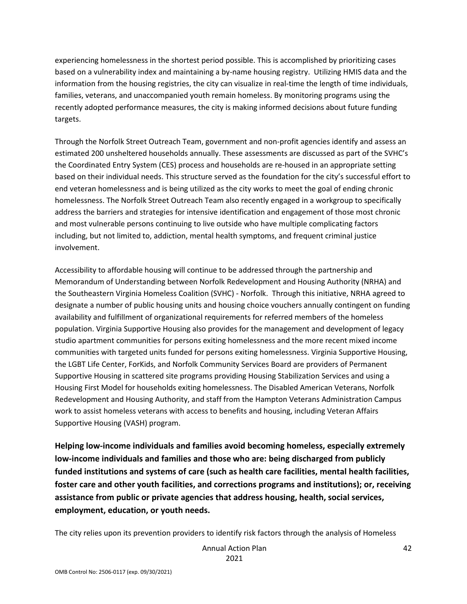experiencing homelessness in the shortest period possible. This is accomplished by prioritizing cases based on a vulnerability index and maintaining a by-name housing registry. Utilizing HMIS data and the information from the housing registries, the city can visualize in real-time the length of time individuals, families, veterans, and unaccompanied youth remain homeless. By monitoring programs using the recently adopted performance measures, the city is making informed decisions about future funding targets.

Through the Norfolk Street Outreach Team, government and non-profit agencies identify and assess an estimated 200 unsheltered households annually. These assessments are discussed as part of the SVHC's the Coordinated Entry System (CES) process and households are re-housed in an appropriate setting based on their individual needs. This structure served as the foundation for the city's successful effort to end veteran homelessness and is being utilized as the city works to meet the goal of ending chronic homelessness. The Norfolk Street Outreach Team also recently engaged in a workgroup to specifically address the barriers and strategies for intensive identification and engagement of those most chronic and most vulnerable persons continuing to live outside who have multiple complicating factors including, but not limited to, addiction, mental health symptoms, and frequent criminal justice involvement.

Accessibility to affordable housing will continue to be addressed through the partnership and Memorandum of Understanding between Norfolk Redevelopment and Housing Authority (NRHA) and the Southeastern Virginia Homeless Coalition (SVHC) - Norfolk. Through this initiative, NRHA agreed to designate a number of public housing units and housing choice vouchers annually contingent on funding availability and fulfillment of organizational requirements for referred members of the homeless population. Virginia Supportive Housing also provides for the management and development of legacy studio apartment communities for persons exiting homelessness and the more recent mixed income communities with targeted units funded for persons exiting homelessness. Virginia Supportive Housing, the LGBT Life Center, ForKids, and Norfolk Community Services Board are providers of Permanent Supportive Housing in scattered site programs providing Housing Stabilization Services and using a Housing First Model for households exiting homelessness. The Disabled American Veterans, Norfolk Redevelopment and Housing Authority, and staff from the Hampton Veterans Administration Campus work to assist homeless veterans with access to benefits and housing, including Veteran Affairs Supportive Housing (VASH) program.

**Helping low-income individuals and families avoid becoming homeless, especially extremely low-income individuals and families and those who are: being discharged from publicly funded institutions and systems of care (such as health care facilities, mental health facilities, foster care and other youth facilities, and corrections programs and institutions); or, receiving assistance from public or private agencies that address housing, health, social services, employment, education, or youth needs.** 

The city relies upon its prevention providers to identify risk factors through the analysis of Homeless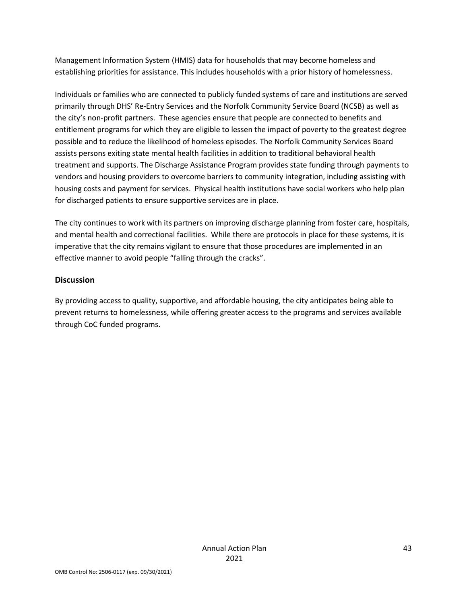Management Information System (HMIS) data for households that may become homeless and establishing priorities for assistance. This includes households with a prior history of homelessness.

Individuals or families who are connected to publicly funded systems of care and institutions are served primarily through DHS' Re-Entry Services and the Norfolk Community Service Board (NCSB) as well as the city's non-profit partners. These agencies ensure that people are connected to benefits and entitlement programs for which they are eligible to lessen the impact of poverty to the greatest degree possible and to reduce the likelihood of homeless episodes. The Norfolk Community Services Board assists persons exiting state mental health facilities in addition to traditional behavioral health treatment and supports. The Discharge Assistance Program provides state funding through payments to vendors and housing providers to overcome barriers to community integration, including assisting with housing costs and payment for services. Physical health institutions have social workers who help plan for discharged patients to ensure supportive services are in place.

The city continues to work with its partners on improving discharge planning from foster care, hospitals, and mental health and correctional facilities. While there are protocols in place for these systems, it is imperative that the city remains vigilant to ensure that those procedures are implemented in an effective manner to avoid people "falling through the cracks".

### **Discussion**

By providing access to quality, supportive, and affordable housing, the city anticipates being able to prevent returns to homelessness, while offering greater access to the programs and services available through CoC funded programs.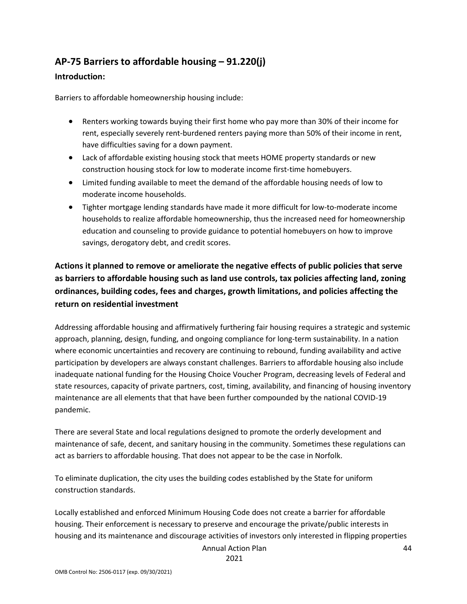# **AP-75 Barriers to affordable housing – 91.220(j)**

### **Introduction:**

Barriers to affordable homeownership housing include:

- Renters working towards buying their first home who pay more than 30% of their income for rent, especially severely rent-burdened renters paying more than 50% of their income in rent, have difficulties saving for a down payment.
- Lack of affordable existing housing stock that meets HOME property standards or new construction housing stock for low to moderate income first-time homebuyers.
- Limited funding available to meet the demand of the affordable housing needs of low to moderate income households.
- Tighter mortgage lending standards have made it more difficult for low-to-moderate income households to realize affordable homeownership, thus the increased need for homeownership education and counseling to provide guidance to potential homebuyers on how to improve savings, derogatory debt, and credit scores.

# **Actions it planned to remove or ameliorate the negative effects of public policies that serve as barriers to affordable housing such as land use controls, tax policies affecting land, zoning ordinances, building codes, fees and charges, growth limitations, and policies affecting the return on residential investment**

Addressing affordable housing and affirmatively furthering fair housing requires a strategic and systemic approach, planning, design, funding, and ongoing compliance for long-term sustainability. In a nation where economic uncertainties and recovery are continuing to rebound, funding availability and active participation by developers are always constant challenges. Barriers to affordable housing also include inadequate national funding for the Housing Choice Voucher Program, decreasing levels of Federal and state resources, capacity of private partners, cost, timing, availability, and financing of housing inventory maintenance are all elements that that have been further compounded by the national COVID-19 pandemic.

There are several State and local regulations designed to promote the orderly development and maintenance of safe, decent, and sanitary housing in the community. Sometimes these regulations can act as barriers to affordable housing. That does not appear to be the case in Norfolk.

To eliminate duplication, the city uses the building codes established by the State for uniform construction standards.

Locally established and enforced Minimum Housing Code does not create a barrier for affordable housing. Their enforcement is necessary to preserve and encourage the private/public interests in housing and its maintenance and discourage activities of investors only interested in flipping properties

Annual Action Plan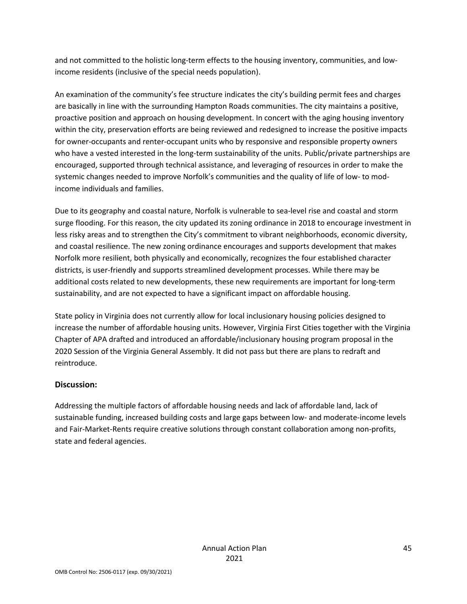and not committed to the holistic long-term effects to the housing inventory, communities, and lowincome residents (inclusive of the special needs population).

An examination of the community's fee structure indicates the city's building permit fees and charges are basically in line with the surrounding Hampton Roads communities. The city maintains a positive, proactive position and approach on housing development. In concert with the aging housing inventory within the city, preservation efforts are being reviewed and redesigned to increase the positive impacts for owner-occupants and renter-occupant units who by responsive and responsible property owners who have a vested interested in the long-term sustainability of the units. Public/private partnerships are encouraged, supported through technical assistance, and leveraging of resources in order to make the systemic changes needed to improve Norfolk's communities and the quality of life of low- to modincome individuals and families.

Due to its geography and coastal nature, Norfolk is vulnerable to sea-level rise and coastal and storm surge flooding. For this reason, the city updated its zoning ordinance in 2018 to encourage investment in less risky areas and to strengthen the City's commitment to vibrant neighborhoods, economic diversity, and coastal resilience. The new zoning ordinance encourages and supports development that makes Norfolk more resilient, both physically and economically, recognizes the four established character districts, is user-friendly and supports streamlined development processes. While there may be additional costs related to new developments, these new requirements are important for long-term sustainability, and are not expected to have a significant impact on affordable housing.

State policy in Virginia does not currently allow for local inclusionary housing policies designed to increase the number of affordable housing units. However, Virginia First Cities together with the Virginia Chapter of APA drafted and introduced an affordable/inclusionary housing program proposal in the 2020 Session of the Virginia General Assembly. It did not pass but there are plans to redraft and reintroduce.

### **Discussion:**

Addressing the multiple factors of affordable housing needs and lack of affordable land, lack of sustainable funding, increased building costs and large gaps between low- and moderate-income levels and Fair-Market-Rents require creative solutions through constant collaboration among non-profits, state and federal agencies.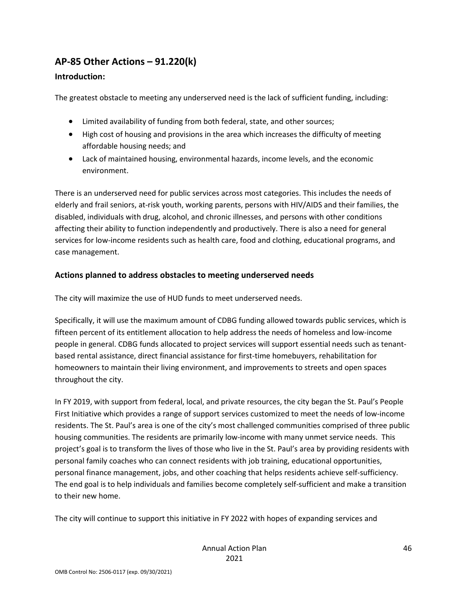# **AP-85 Other Actions – 91.220(k)**

### **Introduction:**

The greatest obstacle to meeting any underserved need is the lack of sufficient funding, including:

- Limited availability of funding from both federal, state, and other sources;
- High cost of housing and provisions in the area which increases the difficulty of meeting affordable housing needs; and
- Lack of maintained housing, environmental hazards, income levels, and the economic environment.

There is an underserved need for public services across most categories. This includes the needs of elderly and frail seniors, at-risk youth, working parents, persons with HIV/AIDS and their families, the disabled, individuals with drug, alcohol, and chronic illnesses, and persons with other conditions affecting their ability to function independently and productively. There is also a need for general services for low-income residents such as health care, food and clothing, educational programs, and case management.

### **Actions planned to address obstacles to meeting underserved needs**

The city will maximize the use of HUD funds to meet underserved needs.

Specifically, it will use the maximum amount of CDBG funding allowed towards public services, which is fifteen percent of its entitlement allocation to help address the needs of homeless and low-income people in general. CDBG funds allocated to project services will support essential needs such as tenantbased rental assistance, direct financial assistance for first-time homebuyers, rehabilitation for homeowners to maintain their living environment, and improvements to streets and open spaces throughout the city.

In FY 2019, with support from federal, local, and private resources, the city began the St. Paul's People First Initiative which provides a range of support services customized to meet the needs of low-income residents. The St. Paul's area is one of the city's most challenged communities comprised of three public housing communities. The residents are primarily low-income with many unmet service needs. This project's goal is to transform the lives of those who live in the St. Paul's area by providing residents with personal family coaches who can connect residents with job training, educational opportunities, personal finance management, jobs, and other coaching that helps residents achieve self-sufficiency. The end goal is to help individuals and families become completely self-sufficient and make a transition to their new home.

The city will continue to support this initiative in FY 2022 with hopes of expanding services and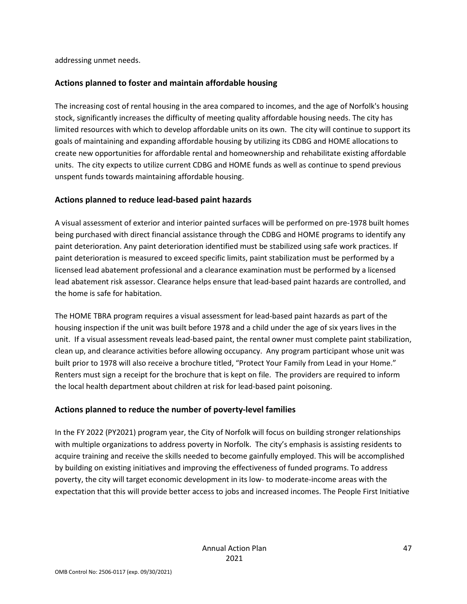addressing unmet needs.

### **Actions planned to foster and maintain affordable housing**

The increasing cost of rental housing in the area compared to incomes, and the age of Norfolk's housing stock, significantly increases the difficulty of meeting quality affordable housing needs. The city has limited resources with which to develop affordable units on its own. The city will continue to support its goals of maintaining and expanding affordable housing by utilizing its CDBG and HOME allocations to create new opportunities for affordable rental and homeownership and rehabilitate existing affordable units. The city expects to utilize current CDBG and HOME funds as well as continue to spend previous unspent funds towards maintaining affordable housing.

### **Actions planned to reduce lead-based paint hazards**

A visual assessment of exterior and interior painted surfaces will be performed on pre-1978 built homes being purchased with direct financial assistance through the CDBG and HOME programs to identify any paint deterioration. Any paint deterioration identified must be stabilized using safe work practices. If paint deterioration is measured to exceed specific limits, paint stabilization must be performed by a licensed lead abatement professional and a clearance examination must be performed by a licensed lead abatement risk assessor. Clearance helps ensure that lead-based paint hazards are controlled, and the home is safe for habitation.

The HOME TBRA program requires a visual assessment for lead-based paint hazards as part of the housing inspection if the unit was built before 1978 and a child under the age of six years lives in the unit. If a visual assessment reveals lead-based paint, the rental owner must complete paint stabilization, clean up, and clearance activities before allowing occupancy. Any program participant whose unit was built prior to 1978 will also receive a brochure titled, "Protect Your Family from Lead in your Home." Renters must sign a receipt for the brochure that is kept on file. The providers are required to inform the local health department about children at risk for lead-based paint poisoning.

### **Actions planned to reduce the number of poverty-level families**

In the FY 2022 (PY2021) program year, the City of Norfolk will focus on building stronger relationships with multiple organizations to address poverty in Norfolk. The city's emphasis is assisting residents to acquire training and receive the skills needed to become gainfully employed. This will be accomplished by building on existing initiatives and improving the effectiveness of funded programs. To address poverty, the city will target economic development in its low- to moderate-income areas with the expectation that this will provide better access to jobs and increased incomes. The People First Initiative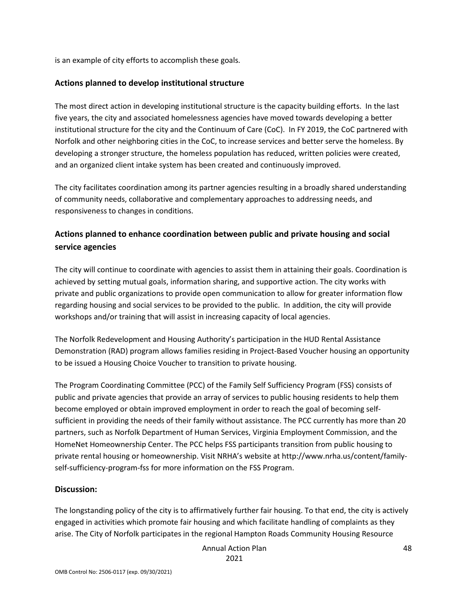is an example of city efforts to accomplish these goals.

### **Actions planned to develop institutional structure**

The most direct action in developing institutional structure is the capacity building efforts. In the last five years, the city and associated homelessness agencies have moved towards developing a better institutional structure for the city and the Continuum of Care (CoC). In FY 2019, the CoC partnered with Norfolk and other neighboring cities in the CoC, to increase services and better serve the homeless. By developing a stronger structure, the homeless population has reduced, written policies were created, and an organized client intake system has been created and continuously improved.

The city facilitates coordination among its partner agencies resulting in a broadly shared understanding of community needs, collaborative and complementary approaches to addressing needs, and responsiveness to changes in conditions.

### **Actions planned to enhance coordination between public and private housing and social service agencies**

The city will continue to coordinate with agencies to assist them in attaining their goals. Coordination is achieved by setting mutual goals, information sharing, and supportive action. The city works with private and public organizations to provide open communication to allow for greater information flow regarding housing and social services to be provided to the public. In addition, the city will provide workshops and/or training that will assist in increasing capacity of local agencies.

The Norfolk Redevelopment and Housing Authority's participation in the HUD Rental Assistance Demonstration (RAD) program allows families residing in Project-Based Voucher housing an opportunity to be issued a Housing Choice Voucher to transition to private housing.

The Program Coordinating Committee (PCC) of the Family Self Sufficiency Program (FSS) consists of public and private agencies that provide an array of services to public housing residents to help them become employed or obtain improved employment in order to reach the goal of becoming selfsufficient in providing the needs of their family without assistance. The PCC currently has more than 20 partners, such as Norfolk Department of Human Services, Virginia Employment Commission, and the HomeNet Homeownership Center. The PCC helps FSS participants transition from public housing to private rental housing or homeownership. Visit NRHA's website at http://www.nrha.us/content/familyself-sufficiency-program-fss for more information on the FSS Program.

### **Discussion:**

The longstanding policy of the city is to affirmatively further fair housing. To that end, the city is actively engaged in activities which promote fair housing and which facilitate handling of complaints as they arise. The City of Norfolk participates in the regional Hampton Roads Community Housing Resource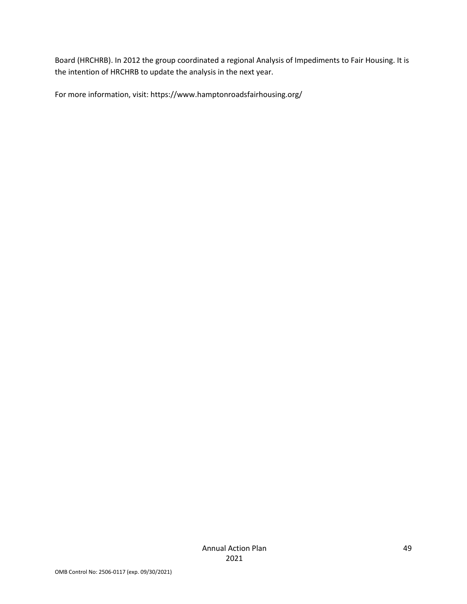Board (HRCHRB). In 2012 the group coordinated a regional Analysis of Impediments to Fair Housing. It is the intention of HRCHRB to update the analysis in the next year.

For more information, visit: https://www.hamptonroadsfairhousing.org/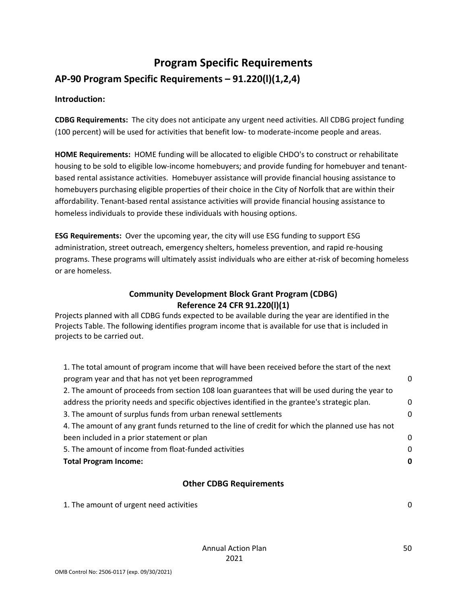# **Program Specific Requirements**

# **AP-90 Program Specific Requirements – 91.220(l)(1,2,4)**

### **Introduction:**

**CDBG Requirements:** The city does not anticipate any urgent need activities. All CDBG project funding (100 percent) will be used for activities that benefit low- to moderate-income people and areas.

**HOME Requirements:** HOME funding will be allocated to eligible CHDO's to construct or rehabilitate housing to be sold to eligible low-income homebuyers; and provide funding for homebuyer and tenantbased rental assistance activities. Homebuyer assistance will provide financial housing assistance to homebuyers purchasing eligible properties of their choice in the City of Norfolk that are within their affordability. Tenant-based rental assistance activities will provide financial housing assistance to homeless individuals to provide these individuals with housing options.

**ESG Requirements:** Over the upcoming year, the city will use ESG funding to support ESG administration, street outreach, emergency shelters, homeless prevention, and rapid re-housing programs. These programs will ultimately assist individuals who are either at-risk of becoming homeless or are homeless.

### **Community Development Block Grant Program (CDBG) Reference 24 CFR 91.220(l)(1)**

Projects planned with all CDBG funds expected to be available during the year are identified in the Projects Table. The following identifies program income that is available for use that is included in projects to be carried out.

| 1. The total amount of program income that will have been received before the start of the next   |   |
|---------------------------------------------------------------------------------------------------|---|
| program year and that has not yet been reprogrammed                                               | 0 |
| 2. The amount of proceeds from section 108 loan guarantees that will be used during the year to   |   |
| address the priority needs and specific objectives identified in the grantee's strategic plan.    | 0 |
| 3. The amount of surplus funds from urban renewal settlements                                     | 0 |
| 4. The amount of any grant funds returned to the line of credit for which the planned use has not |   |
| been included in a prior statement or plan                                                        | 0 |
| 5. The amount of income from float-funded activities                                              | 0 |
| <b>Total Program Income:</b>                                                                      | 0 |
|                                                                                                   |   |

### **Other CDBG Requirements**

| 1. The amount of urgent need activities |  |
|-----------------------------------------|--|
|                                         |  |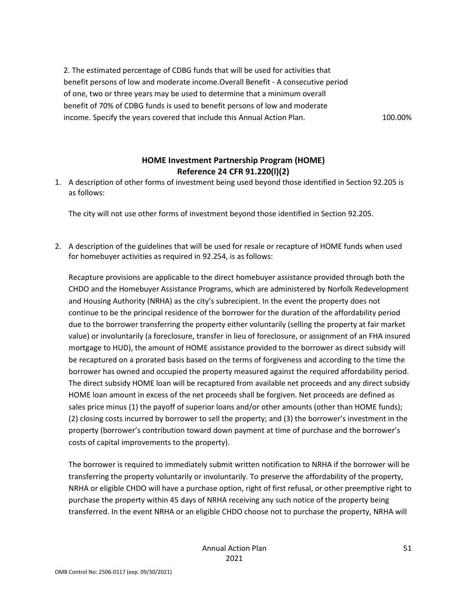2. The estimated percentage of CDBG funds that will be used for activities that benefit persons of low and moderate income.Overall Benefit - A consecutive period of one, two or three years may be used to determine that a minimum overall benefit of 70% of CDBG funds is used to benefit persons of low and moderate income. Specify the years covered that include this Annual Action Plan. 100.00%

### **HOME Investment Partnership Program (HOME) Reference 24 CFR 91.220(l)(2)**

1. A description of other forms of investment being used beyond those identified in Section 92.205 is as follows:

The city will not use other forms of investment beyond those identified in Section 92.205.

2. A description of the guidelines that will be used for resale or recapture of HOME funds when used for homebuyer activities as required in 92.254, is as follows:

Recapture provisions are applicable to the direct homebuyer assistance provided through both the CHDO and the Homebuyer Assistance Programs, which are administered by Norfolk Redevelopment and Housing Authority (NRHA) as the city's subrecipient. In the event the property does not continue to be the principal residence of the borrower for the duration of the affordability period due to the borrower transferring the property either voluntarily (selling the property at fair market value) or involuntarily (a foreclosure, transfer in lieu of foreclosure, or assignment of an FHA insured mortgage to HUD), the amount of HOME assistance provided to the borrower as direct subsidy will be recaptured on a prorated basis based on the terms of forgiveness and according to the time the borrower has owned and occupied the property measured against the required affordability period. The direct subsidy HOME loan will be recaptured from available net proceeds and any direct subsidy HOME loan amount in excess of the net proceeds shall be forgiven. Net proceeds are defined as sales price minus (1) the payoff of superior loans and/or other amounts (other than HOME funds); (2) closing costs incurred by borrower to sell the property; and (3) the borrower's investment in the property (borrower's contribution toward down payment at time of purchase and the borrower's costs of capital improvements to the property).

The borrower is required to immediately submit written notification to NRHA if the borrower will be transferring the property voluntarily or involuntarily. To preserve the affordability of the property, NRHA or eligible CHDO will have a purchase option, right of first refusal, or other preemptive right to purchase the property within 45 days of NRHA receiving any such notice of the property being transferred. In the event NRHA or an eligible CHDO choose not to purchase the property, NRHA will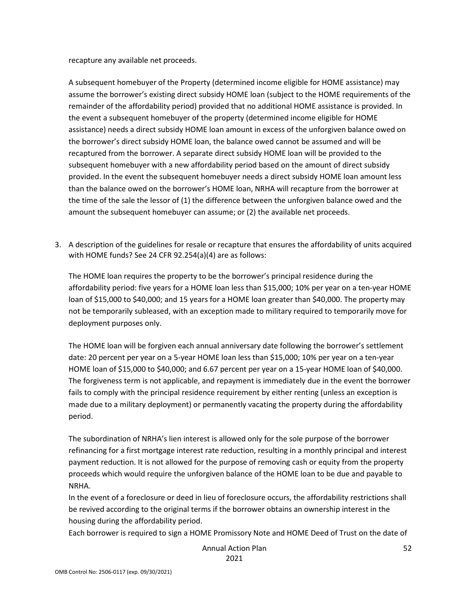recapture any available net proceeds.

A subsequent homebuyer of the Property (determined income eligible for HOME assistance) may assume the borrower's existing direct subsidy HOME loan (subject to the HOME requirements of the remainder of the affordability period) provided that no additional HOME assistance is provided. In the event a subsequent homebuyer of the property (determined income eligible for HOME assistance) needs a direct subsidy HOME loan amount in excess of the unforgiven balance owed on the borrower's direct subsidy HOME loan, the balance owed cannot be assumed and will be recaptured from the borrower. A separate direct subsidy HOME loan will be provided to the subsequent homebuyer with a new affordability period based on the amount of direct subsidy provided. In the event the subsequent homebuyer needs a direct subsidy HOME loan amount less than the balance owed on the borrower's HOME loan, NRHA will recapture from the borrower at the time of the sale the lessor of (1) the difference between the unforgiven balance owed and the amount the subsequent homebuyer can assume; or (2) the available net proceeds.

3. A description of the guidelines for resale or recapture that ensures the affordability of units acquired with HOME funds? See 24 CFR 92.254(a)(4) are as follows:

The HOME loan requires the property to be the borrower's principal residence during the affordability period: five years for a HOME loan less than \$15,000; 10% per year on a ten-year HOME loan of \$15,000 to \$40,000; and 15 years for a HOME loan greater than \$40,000. The property may not be temporarily subleased, with an exception made to military required to temporarily move for deployment purposes only.

The HOME loan will be forgiven each annual anniversary date following the borrower's settlement date: 20 percent per year on a 5-year HOME loan less than \$15,000; 10% per year on a ten-year HOME loan of \$15,000 to \$40,000; and 6.67 percent per year on a 15-year HOME loan of \$40,000. The forgiveness term is not applicable, and repayment is immediately due in the event the borrower fails to comply with the principal residence requirement by either renting (unless an exception is made due to a military deployment) or permanently vacating the property during the affordability period.

The subordination of NRHA's lien interest is allowed only for the sole purpose of the borrower refinancing for a first mortgage interest rate reduction, resulting in a monthly principal and interest payment reduction. It is not allowed for the purpose of removing cash or equity from the property proceeds which would require the unforgiven balance of the HOME loan to be due and payable to NRHA.

In the event of a foreclosure or deed in lieu of foreclosure occurs, the affordability restrictions shall be revived according to the original terms if the borrower obtains an ownership interest in the housing during the affordability period.

Each borrower is required to sign a HOME Promissory Note and HOME Deed of Trust on the date of

Annual Action Plan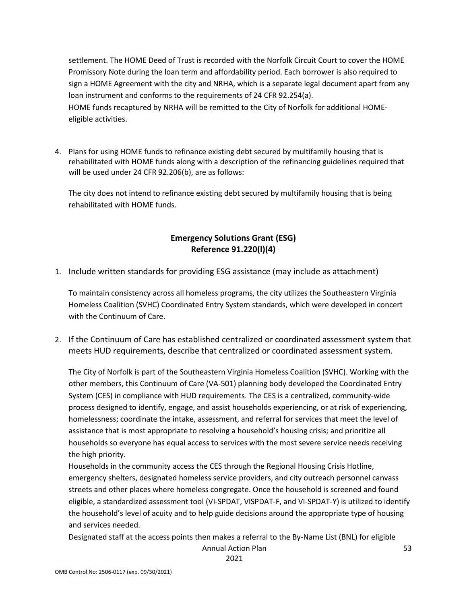settlement. The HOME Deed of Trust is recorded with the Norfolk Circuit Court to cover the HOME Promissory Note during the loan term and affordability period. Each borrower is also required to sign a HOME Agreement with the city and NRHA, which is a separate legal document apart from any loan instrument and conforms to the requirements of 24 CFR 92.254(a). HOME funds recaptured by NRHA will be remitted to the City of Norfolk for additional HOMEeligible activities.

4. Plans for using HOME funds to refinance existing debt secured by multifamily housing that is rehabilitated with HOME funds along with a description of the refinancing guidelines required that will be used under 24 CFR 92.206(b), are as follows:

The city does not intend to refinance existing debt secured by multifamily housing that is being rehabilitated with HOME funds.

### **Emergency Solutions Grant (ESG) Reference 91.220(l)(4)**

1. Include written standards for providing ESG assistance (may include as attachment)

To maintain consistency across all homeless programs, the city utilizes the Southeastern Virginia Homeless Coalition (SVHC) Coordinated Entry System standards, which were developed in concert with the Continuum of Care.

2. If the Continuum of Care has established centralized or coordinated assessment system that meets HUD requirements, describe that centralized or coordinated assessment system.

The City of Norfolk is part of the Southeastern Virginia Homeless Coalition (SVHC). Working with the other members, this Continuum of Care (VA-501) planning body developed the Coordinated Entry System (CES) in compliance with HUD requirements. The CES is a centralized, community-wide process designed to identify, engage, and assist households experiencing, or at risk of experiencing, homelessness; coordinate the intake, assessment, and referral for services that meet the level of assistance that is most appropriate to resolving a household's housing crisis; and prioritize all households so everyone has equal access to services with the most severe service needs receiving the high priority.

Households in the community access the CES through the Regional Housing Crisis Hotline, emergency shelters, designated homeless service providers, and city outreach personnel canvass streets and other places where homeless congregate. Once the household is screened and found eligible, a standardized assessment tool (VI-SPDAT, VISPDAT-F, and VI-SPDAT-Y) is utilized to identify the household's level of acuity and to help guide decisions around the appropriate type of housing and services needed.

Designated staff at the access points then makes a referral to the By-Name List (BNL) for eligible

Annual Action Plan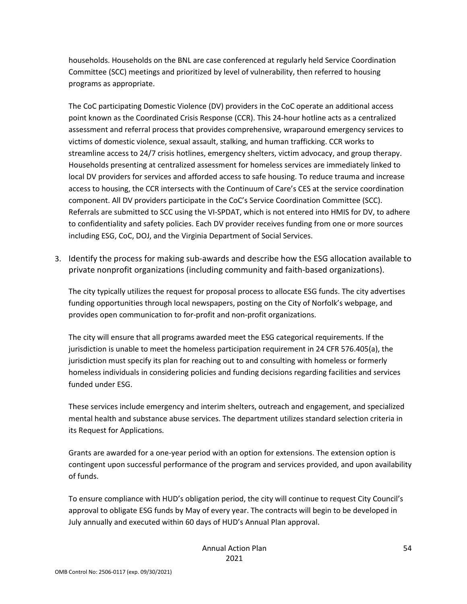households. Households on the BNL are case conferenced at regularly held Service Coordination Committee (SCC) meetings and prioritized by level of vulnerability, then referred to housing programs as appropriate.

The CoC participating Domestic Violence (DV) providers in the CoC operate an additional access point known as the Coordinated Crisis Response (CCR). This 24-hour hotline acts as a centralized assessment and referral process that provides comprehensive, wraparound emergency services to victims of domestic violence, sexual assault, stalking, and human trafficking. CCR works to streamline access to 24/7 crisis hotlines, emergency shelters, victim advocacy, and group therapy. Households presenting at centralized assessment for homeless services are immediately linked to local DV providers for services and afforded access to safe housing. To reduce trauma and increase access to housing, the CCR intersects with the Continuum of Care's CES at the service coordination component. All DV providers participate in the CoC's Service Coordination Committee (SCC). Referrals are submitted to SCC using the VI-SPDAT, which is not entered into HMIS for DV, to adhere to confidentiality and safety policies. Each DV provider receives funding from one or more sources including ESG, CoC, DOJ, and the Virginia Department of Social Services.

3. Identify the process for making sub-awards and describe how the ESG allocation available to private nonprofit organizations (including community and faith-based organizations).

The city typically utilizes the request for proposal process to allocate ESG funds. The city advertises funding opportunities through local newspapers, posting on the City of Norfolk's webpage, and provides open communication to for-profit and non-profit organizations.

The city will ensure that all programs awarded meet the ESG categorical requirements. If the jurisdiction is unable to meet the homeless participation requirement in 24 CFR 576.405(a), the jurisdiction must specify its plan for reaching out to and consulting with homeless or formerly homeless individuals in considering policies and funding decisions regarding facilities and services funded under ESG.

These services include emergency and interim shelters, outreach and engagement, and specialized mental health and substance abuse services. The department utilizes standard selection criteria in its Request for Applications.

Grants are awarded for a one-year period with an option for extensions. The extension option is contingent upon successful performance of the program and services provided, and upon availability of funds.

To ensure compliance with HUD's obligation period, the city will continue to request City Council's approval to obligate ESG funds by May of every year. The contracts will begin to be developed in July annually and executed within 60 days of HUD's Annual Plan approval.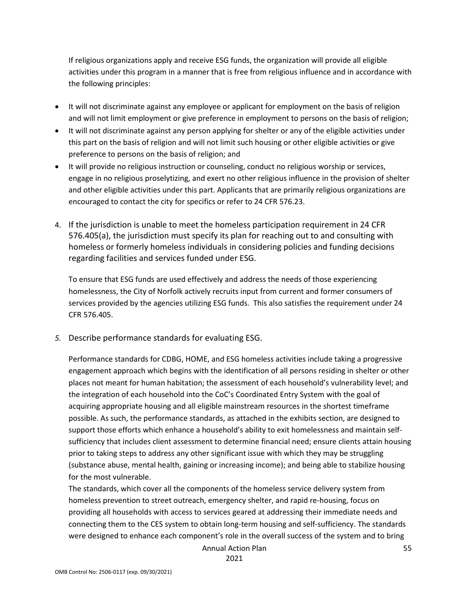If religious organizations apply and receive ESG funds, the organization will provide all eligible activities under this program in a manner that is free from religious influence and in accordance with the following principles:

- It will not discriminate against any employee or applicant for employment on the basis of religion and will not limit employment or give preference in employment to persons on the basis of religion;
- It will not discriminate against any person applying for shelter or any of the eligible activities under this part on the basis of religion and will not limit such housing or other eligible activities or give preference to persons on the basis of religion; and
- It will provide no religious instruction or counseling, conduct no religious worship or services, engage in no religious proselytizing, and exert no other religious influence in the provision of shelter and other eligible activities under this part. Applicants that are primarily religious organizations are encouraged to contact the city for specifics or refer to 24 CFR 576.23.
- 4. If the jurisdiction is unable to meet the homeless participation requirement in 24 CFR 576.405(a), the jurisdiction must specify its plan for reaching out to and consulting with homeless or formerly homeless individuals in considering policies and funding decisions regarding facilities and services funded under ESG.

To ensure that ESG funds are used effectively and address the needs of those experiencing homelessness, the City of Norfolk actively recruits input from current and former consumers of services provided by the agencies utilizing ESG funds. This also satisfies the requirement under 24 CFR 576.405.

*5.* Describe performance standards for evaluating ESG.

Performance standards for CDBG, HOME, and ESG homeless activities include taking a progressive engagement approach which begins with the identification of all persons residing in shelter or other places not meant for human habitation; the assessment of each household's vulnerability level; and the integration of each household into the CoC's Coordinated Entry System with the goal of acquiring appropriate housing and all eligible mainstream resources in the shortest timeframe possible. As such, the performance standards, as attached in the exhibits section, are designed to support those efforts which enhance a household's ability to exit homelessness and maintain selfsufficiency that includes client assessment to determine financial need; ensure clients attain housing prior to taking steps to address any other significant issue with which they may be struggling (substance abuse, mental health, gaining or increasing income); and being able to stabilize housing for the most vulnerable.

The standards, which cover all the components of the homeless service delivery system from homeless prevention to street outreach, emergency shelter, and rapid re-housing, focus on providing all households with access to services geared at addressing their immediate needs and connecting them to the CES system to obtain long-term housing and self-sufficiency. The standards were designed to enhance each component's role in the overall success of the system and to bring

Annual Action Plan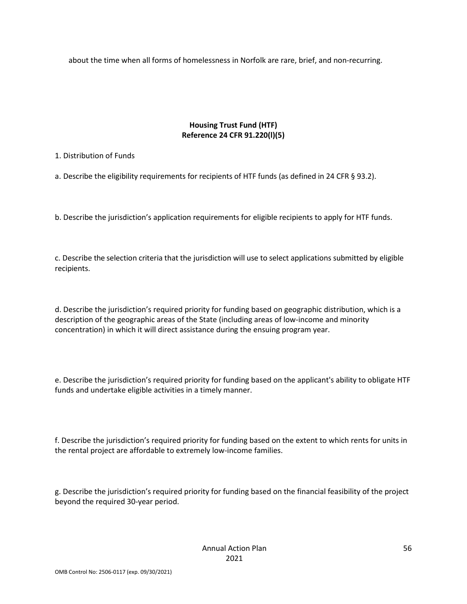about the time when all forms of homelessness in Norfolk are rare, brief, and non-recurring.

### **Housing Trust Fund (HTF) Reference 24 CFR 91.220(l)(5)**

### 1. Distribution of Funds

a. Describe the eligibility requirements for recipients of HTF funds (as defined in 24 CFR § 93.2).

b. Describe the jurisdiction's application requirements for eligible recipients to apply for HTF funds.

c. Describe the selection criteria that the jurisdiction will use to select applications submitted by eligible recipients.

d. Describe the jurisdiction's required priority for funding based on geographic distribution, which is a description of the geographic areas of the State (including areas of low-income and minority concentration) in which it will direct assistance during the ensuing program year.

e. Describe the jurisdiction's required priority for funding based on the applicant's ability to obligate HTF funds and undertake eligible activities in a timely manner.

f. Describe the jurisdiction's required priority for funding based on the extent to which rents for units in the rental project are affordable to extremely low-income families.

g. Describe the jurisdiction's required priority for funding based on the financial feasibility of the project beyond the required 30-year period.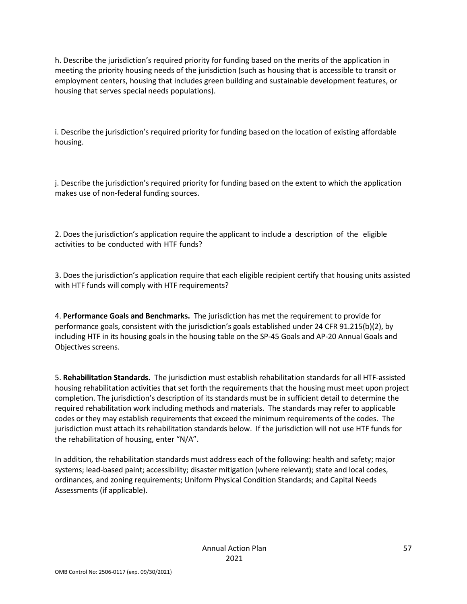h. Describe the jurisdiction's required priority for funding based on the merits of the application in meeting the priority housing needs of the jurisdiction (such as housing that is accessible to transit or employment centers, housing that includes green building and sustainable development features, or housing that serves special needs populations).

i. Describe the jurisdiction's required priority for funding based on the location of existing affordable housing.

j. Describe the jurisdiction's required priority for funding based on the extent to which the application makes use of non-federal funding sources.

2. Does the jurisdiction's application require the applicant to include a description of the eligible activities to be conducted with HTF funds?

3. Does the jurisdiction's application require that each eligible recipient certify that housing units assisted with HTF funds will comply with HTF requirements?

4. **Performance Goals and Benchmarks.** The jurisdiction has met the requirement to provide for performance goals, consistent with the jurisdiction's goals established under 24 CFR 91.215(b)(2), by including HTF in its housing goals in the housing table on the SP-45 Goals and AP-20 Annual Goals and Objectives screens.

5. **Rehabilitation Standards.** The jurisdiction must establish rehabilitation standards for all HTF-assisted housing rehabilitation activities that set forth the requirements that the housing must meet upon project completion. The jurisdiction's description of its standards must be in sufficient detail to determine the required rehabilitation work including methods and materials. The standards may refer to applicable codes or they may establish requirements that exceed the minimum requirements of the codes. The jurisdiction must attach its rehabilitation standards below. If the jurisdiction will not use HTF funds for the rehabilitation of housing, enter "N/A".

In addition, the rehabilitation standards must address each of the following: health and safety; major systems; lead-based paint; accessibility; disaster mitigation (where relevant); state and local codes, ordinances, and zoning requirements; Uniform Physical Condition Standards; and Capital Needs Assessments (if applicable).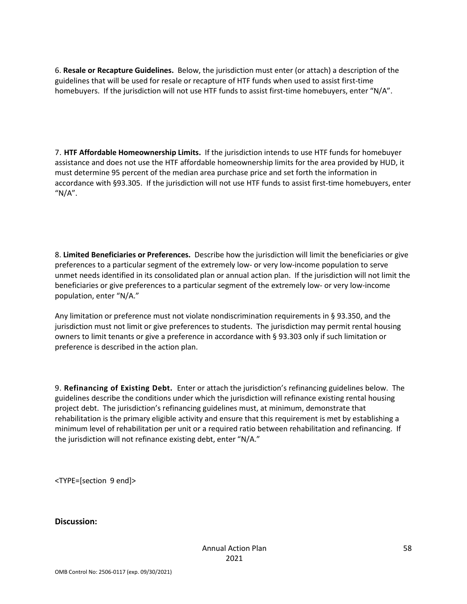6. **Resale or Recapture Guidelines.** Below, the jurisdiction must enter (or attach) a description of the guidelines that will be used for resale or recapture of HTF funds when used to assist first-time homebuyers. If the jurisdiction will not use HTF funds to assist first-time homebuyers, enter "N/A".

7. **HTF Affordable Homeownership Limits.** If the jurisdiction intends to use HTF funds for homebuyer assistance and does not use the HTF affordable homeownership limits for the area provided by HUD, it must determine 95 percent of the median area purchase price and set forth the information in accordance with §93.305. If the jurisdiction will not use HTF funds to assist first-time homebuyers, enter " $N/A$ ".

8. **Limited Beneficiaries or Preferences.** Describe how the jurisdiction will limit the beneficiaries or give preferences to a particular segment of the extremely low- or very low-income population to serve unmet needs identified in its consolidated plan or annual action plan. If the jurisdiction will not limit the beneficiaries or give preferences to a particular segment of the extremely low- or very low-income population, enter "N/A."

Any limitation or preference must not violate nondiscrimination requirements in § 93.350, and the jurisdiction must not limit or give preferences to students. The jurisdiction may permit rental housing owners to limit tenants or give a preference in accordance with § 93.303 only if such limitation or preference is described in the action plan.

9. **Refinancing of Existing Debt.** Enter or attach the jurisdiction's refinancing guidelines below. The guidelines describe the conditions under which the jurisdiction will refinance existing rental housing project debt. The jurisdiction's refinancing guidelines must, at minimum, demonstrate that rehabilitation is the primary eligible activity and ensure that this requirement is met by establishing a minimum level of rehabilitation per unit or a required ratio between rehabilitation and refinancing. If the jurisdiction will not refinance existing debt, enter "N/A."

<TYPE=[section 9 end]>

**Discussion:**